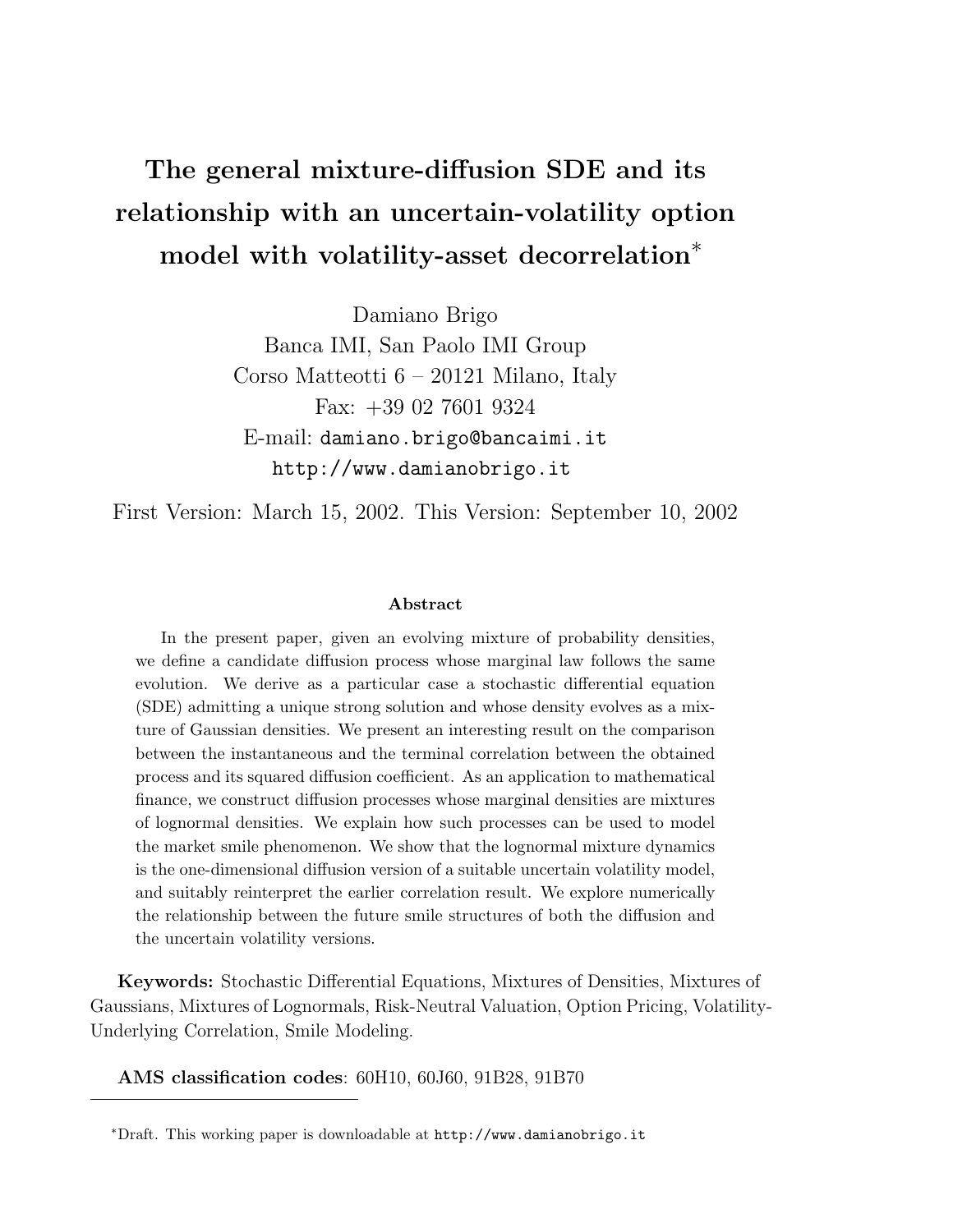# The general mixture-diffusion SDE and its relationship with an uncertain-volatility option model with volatility-asset decorrelation<sup>∗</sup>

Damiano Brigo Banca IMI, San Paolo IMI Group Corso Matteotti 6 – 20121 Milano, Italy Fax: +39 02 7601 9324 E-mail: damiano.brigo@bancaimi.it http://www.damianobrigo.it

First Version: March 15, 2002. This Version: September 10, 2002

#### Abstract

In the present paper, given an evolving mixture of probability densities, we define a candidate diffusion process whose marginal law follows the same evolution. We derive as a particular case a stochastic differential equation (SDE) admitting a unique strong solution and whose density evolves as a mixture of Gaussian densities. We present an interesting result on the comparison between the instantaneous and the terminal correlation between the obtained process and its squared diffusion coefficient. As an application to mathematical finance, we construct diffusion processes whose marginal densities are mixtures of lognormal densities. We explain how such processes can be used to model the market smile phenomenon. We show that the lognormal mixture dynamics is the one-dimensional diffusion version of a suitable uncertain volatility model, and suitably reinterpret the earlier correlation result. We explore numerically the relationship between the future smile structures of both the diffusion and the uncertain volatility versions.

Keywords: Stochastic Differential Equations, Mixtures of Densities, Mixtures of Gaussians, Mixtures of Lognormals, Risk-Neutral Valuation, Option Pricing, Volatility-Underlying Correlation, Smile Modeling.

AMS classification codes: 60H10, 60J60, 91B28, 91B70

<sup>∗</sup>Draft. This working paper is downloadable at http://www.damianobrigo.it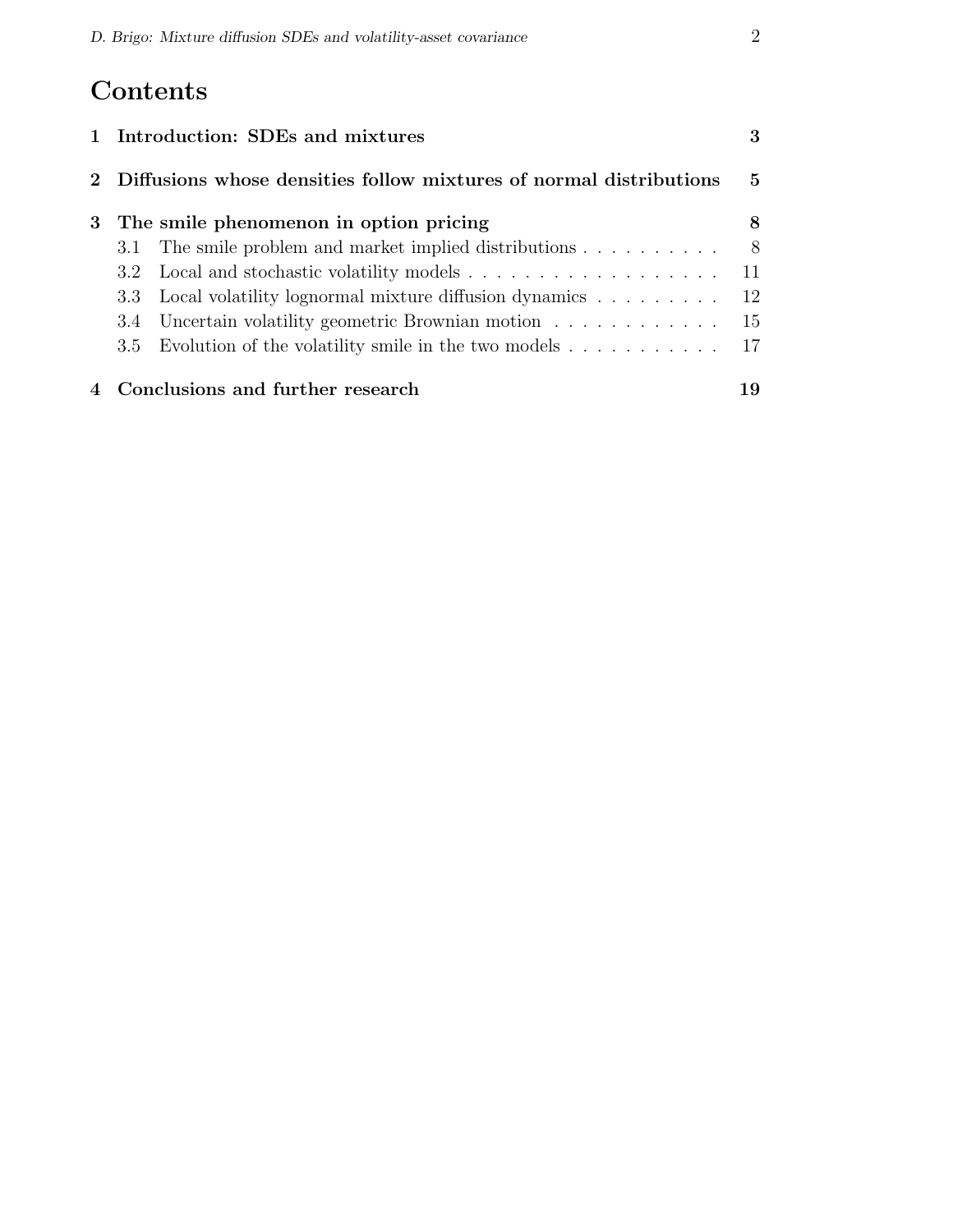# Contents

| 1 Introduction: SDEs and mixtures                                  |                                                            |      |  |  |  |  |  |
|--------------------------------------------------------------------|------------------------------------------------------------|------|--|--|--|--|--|
| Diffusions whose densities follow mixtures of normal distributions |                                                            |      |  |  |  |  |  |
| The smile phenomenon in option pricing<br>3                        |                                                            |      |  |  |  |  |  |
|                                                                    | 3.1 The smile problem and market implied distributions     | 8    |  |  |  |  |  |
|                                                                    | 3.2 Local and stochastic volatility models 11              |      |  |  |  |  |  |
|                                                                    | 3.3 Local volatility lognormal mixture diffusion dynamics  | - 12 |  |  |  |  |  |
|                                                                    | 3.4 Uncertain volatility geometric Brownian motion         | 15   |  |  |  |  |  |
|                                                                    | 3.5 Evolution of the volatility smile in the two models 17 |      |  |  |  |  |  |
|                                                                    | 4 Conclusions and further research                         | 19   |  |  |  |  |  |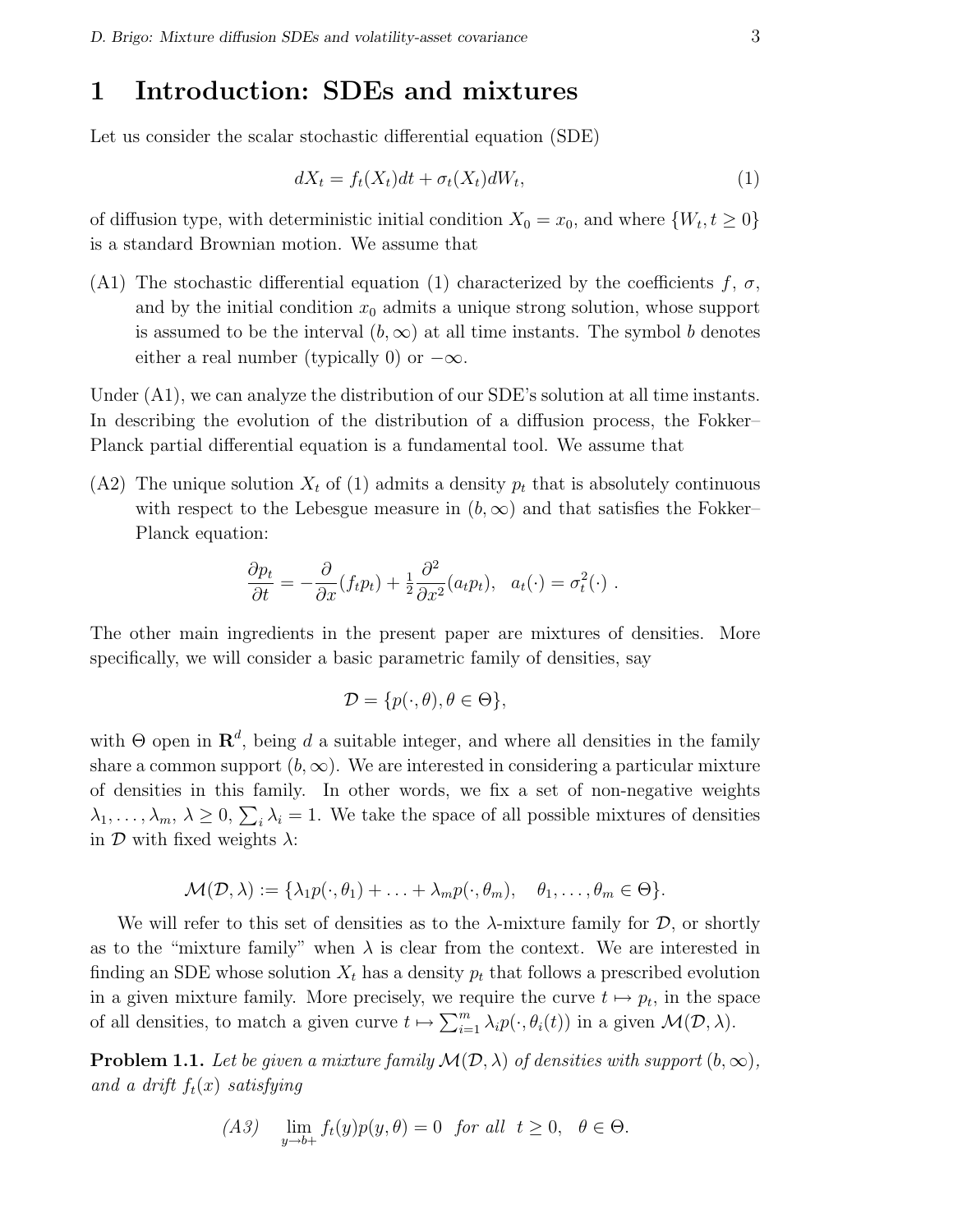### 1 Introduction: SDEs and mixtures

Let us consider the scalar stochastic differential equation (SDE)

$$
dX_t = f_t(X_t)dt + \sigma_t(X_t)dW_t,
$$
\n(1)

of diffusion type, with deterministic initial condition  $X_0 = x_0$ , and where  $\{W_t, t \geq 0\}$ is a standard Brownian motion. We assume that

(A1) The stochastic differential equation (1) characterized by the coefficients f,  $\sigma$ , and by the initial condition  $x_0$  admits a unique strong solution, whose support is assumed to be the interval  $(b, \infty)$  at all time instants. The symbol b denotes either a real number (typically 0) or  $-\infty$ .

Under (A1), we can analyze the distribution of our SDE's solution at all time instants. In describing the evolution of the distribution of a diffusion process, the Fokker– Planck partial differential equation is a fundamental tool. We assume that

 $(A2)$  The unique solution  $X_t$  of (1) admits a density  $p_t$  that is absolutely continuous with respect to the Lebesgue measure in  $(b, \infty)$  and that satisfies the Fokker– Planck equation:

$$
\frac{\partial p_t}{\partial t} = -\frac{\partial}{\partial x}(f_t p_t) + \frac{1}{2} \frac{\partial^2}{\partial x^2}(a_t p_t), \ \ a_t(\cdot) = \sigma_t^2(\cdot) \ .
$$

The other main ingredients in the present paper are mixtures of densities. More specifically, we will consider a basic parametric family of densities, say

$$
\mathcal{D} = \{p(\cdot,\theta), \theta \in \Theta\},\
$$

with  $\Theta$  open in  $\mathbb{R}^d$ , being d a suitable integer, and where all densities in the family share a common support  $(b, \infty)$ . We are interested in considering a particular mixture of densities in this family. In other words, we fix a set of non-negative weights  $\lambda_1, \ldots, \lambda_m, \lambda \geq 0, \sum_i \lambda_i = 1$ . We take the space of all possible mixtures of densities in  $\mathcal D$  with fixed weights  $\lambda$ :

$$
\mathcal{M}(\mathcal{D}, \lambda) := \{ \lambda_1 p(\cdot, \theta_1) + \ldots + \lambda_m p(\cdot, \theta_m), \quad \theta_1, \ldots, \theta_m \in \Theta \}.
$$

We will refer to this set of densities as to the  $\lambda$ -mixture family for  $\mathcal{D}$ , or shortly as to the "mixture family" when  $\lambda$  is clear from the context. We are interested in finding an SDE whose solution  $X_t$  has a density  $p_t$  that follows a prescribed evolution in a given mixture family. More precisely, we require the curve  $t \mapsto p_t$ , in the space of all densities, to match a given curve  $t \mapsto \sum_{i=1}^{m}$  $_{i=1}^{m} \lambda_{i} p(\cdot, \theta_{i}(t))$  in a given  $\mathcal{M}(D, \lambda)$ .

**Problem 1.1.** Let be given a mixture family  $\mathcal{M}(\mathcal{D}, \lambda)$  of densities with support  $(b, \infty)$ , and a drift  $f_t(x)$  satisfying

$$
(A3) \quad \lim_{y \to b+} f_t(y)p(y, \theta) = 0 \quad \text{for all} \quad t \ge 0, \quad \theta \in \Theta.
$$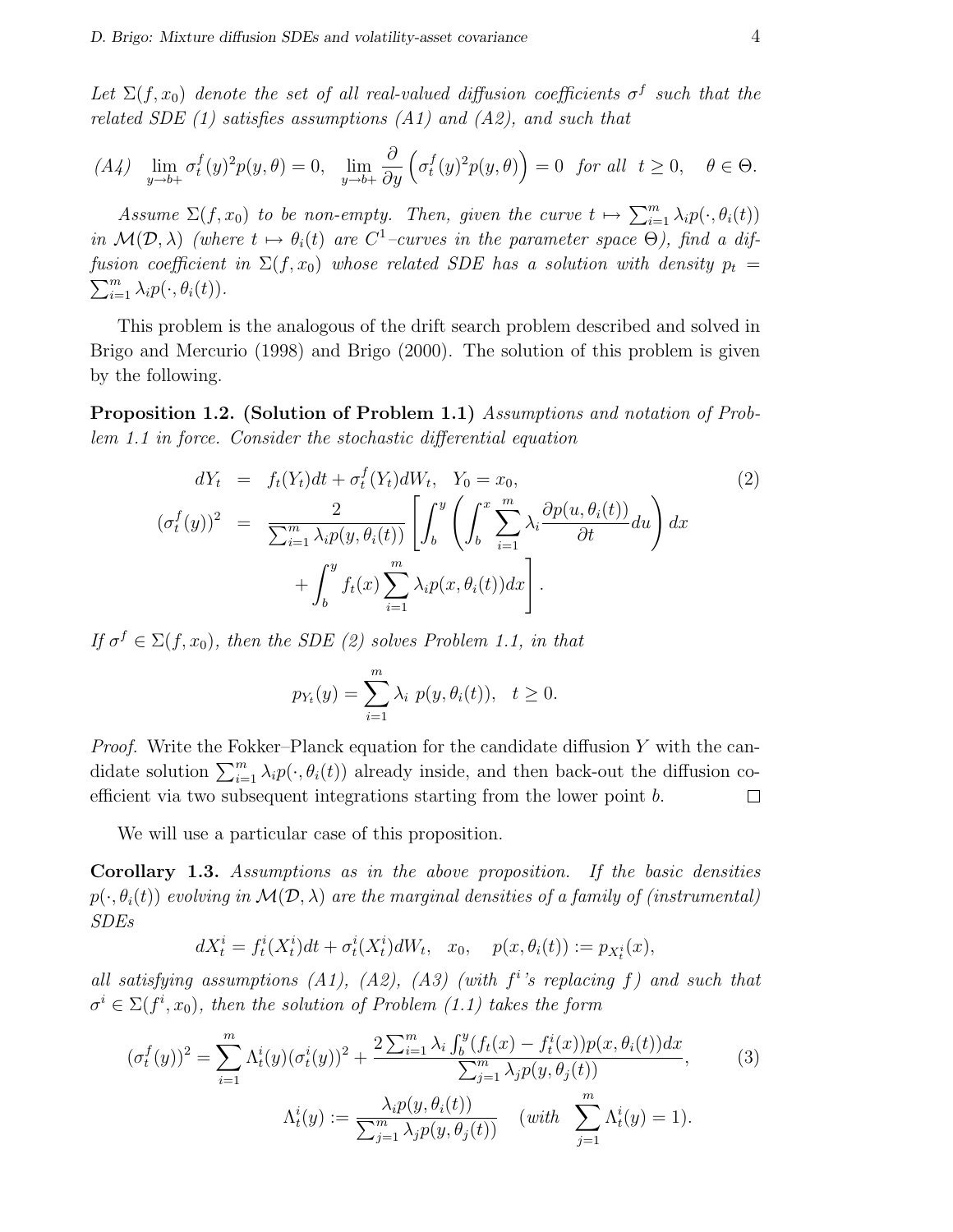Let  $\Sigma(f, x_0)$  denote the set of all real-valued diffusion coefficients  $\sigma^f$  such that the related SDE  $(1)$  satisfies assumptions  $(A1)$  and  $(A2)$ , and such that

$$
(A4)\quad\lim_{y\to b+}\sigma_t^f(y)^2p(y,\theta)=0,\quad\lim_{y\to b+}\frac{\partial}{\partial y}\left(\sigma_t^f(y)^2p(y,\theta)\right)=0\quad\text{for all}\ \ t\geq0,\quad\theta\in\Theta.
$$

Assume  $\Sigma(f, x_0)$  to be non-empty. Then, given the curve  $t \mapsto \sum_{i=1}^m$  $\sum_{i=1}^{m} \lambda_i p(\cdot, \theta_i(t))$ in  $\mathcal{M}(\mathcal{D}, \lambda)$  (where  $t \mapsto \theta_i(t)$  are  $C^1$ -curves in the parameter space  $\Theta$ ), find a diffusion coefficient in  $\Sigma(f, x_0)$  whose related SDE has a solution with density  $p_t =$  $\sum_{i=1}^m \lambda_i p(\cdot, \theta_i(t)).$ 

This problem is the analogous of the drift search problem described and solved in Brigo and Mercurio (1998) and Brigo (2000). The solution of this problem is given by the following.

Proposition 1.2. (Solution of Problem 1.1) Assumptions and notation of Problem 1.1 in force. Consider the stochastic differential equation

$$
dY_t = f_t(Y_t)dt + \sigma_t^f(Y_t)dW_t, \quad Y_0 = x_0,
$$
  

$$
(\sigma_t^f(y))^2 = \frac{2}{\sum_{i=1}^m \lambda_i p(y, \theta_i(t))} \left[ \int_b^y \left( \int_b^x \sum_{i=1}^m \lambda_i \frac{\partial p(u, \theta_i(t))}{\partial t} du \right) dx + \int_b^y f_t(x) \sum_{i=1}^m \lambda_i p(x, \theta_i(t)) dx \right].
$$
  
(2)

If  $\sigma^f \in \Sigma(f, x_0)$ , then the SDE (2) solves Problem 1.1, in that

$$
p_{Y_t}(y) = \sum_{i=1}^m \lambda_i \ p(y, \theta_i(t)), \ t \ge 0.
$$

*Proof.* Write the Fokker–Planck equation for the candidate diffusion Y with the candidate solution  $\sum_{i=1}^{m} \lambda_i p(\cdot, \theta_i(t))$  already inside, and then back-out the diffusion coefficient via two subsequent integrations starting from the lower point b.  $\Box$ 

We will use a particular case of this proposition.

Corollary 1.3. Assumptions as in the above proposition. If the basic densities  $p(\cdot,\theta_i(t))$  evolving in  $\mathcal{M}(\mathcal{D},\lambda)$  are the marginal densities of a family of (instrumental) SDEs

$$
dX_t^i = f_t^i(X_t^i)dt + \sigma_t^i(X_t^i)dW_t, \quad x_0, \quad p(x, \theta_i(t)) := p_{X_t^i}(x),
$$

all satisfying assumptions  $(A1)$ ,  $(A2)$ ,  $(A3)$  (with  $f<sup>i</sup>$ 's replacing f) and such that  $\sigma^i \in \Sigma(f^i,x_0)$ , then the solution of Problem (1.1) takes the form

$$
(\sigma_t^f(y))^2 = \sum_{i=1}^m \Lambda_t^i(y)(\sigma_t^i(y))^2 + \frac{2\sum_{i=1}^m \lambda_i \int_b^y (f_t(x) - f_t^i(x))p(x, \theta_i(t))dx}{\sum_{j=1}^m \lambda_j p(y, \theta_j(t))},
$$
(3)  

$$
\Lambda_t^i(y) := \frac{\lambda_i p(y, \theta_i(t))}{\sum_{j=1}^m \lambda_j p(y, \theta_j(t))} \quad (with \sum_{j=1}^m \Lambda_t^i(y) = 1).
$$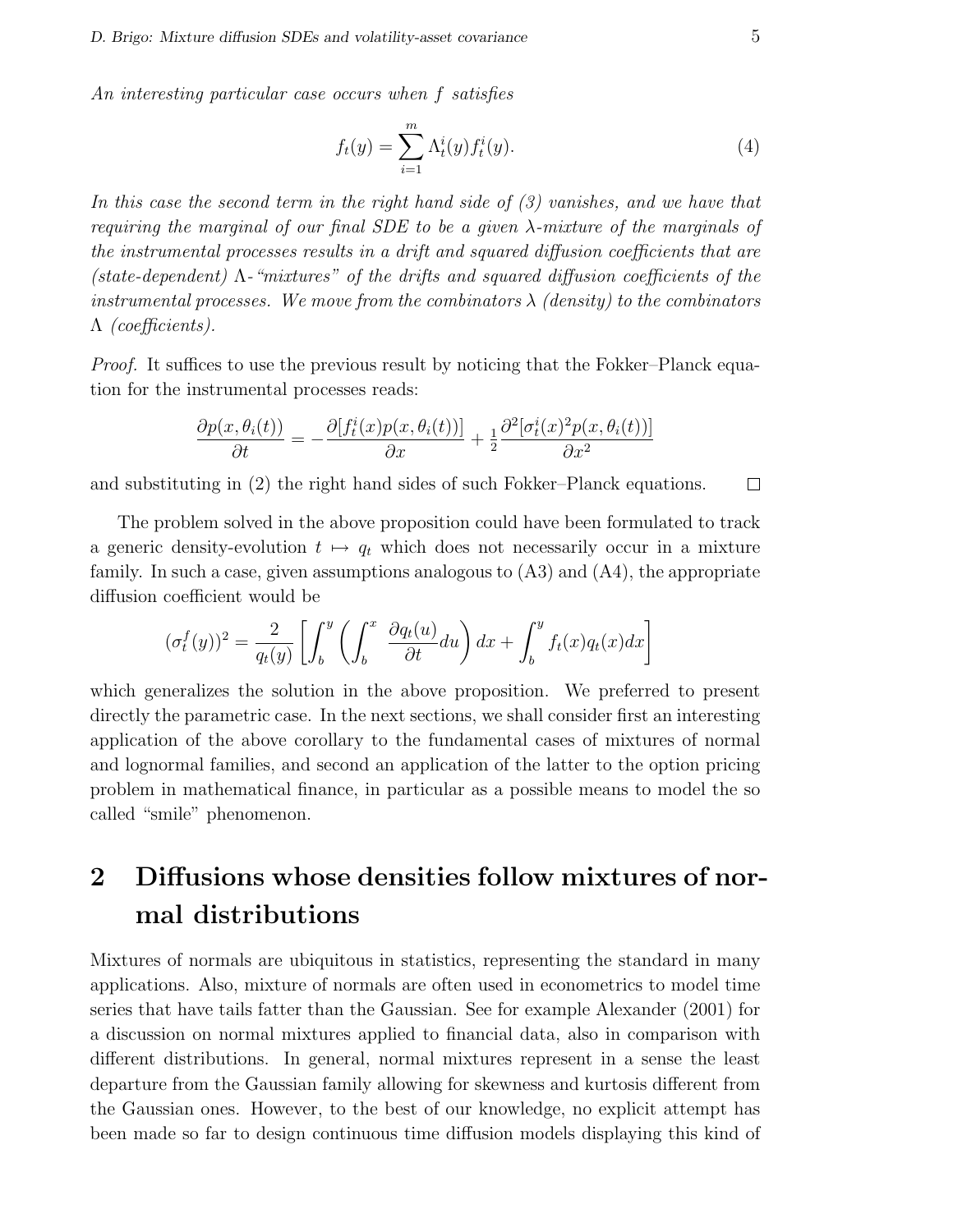An interesting particular case occurs when f satisfies

$$
f_t(y) = \sum_{i=1}^m \Lambda_t^i(y) f_t^i(y).
$$
 (4)

In this case the second term in the right hand side of (3) vanishes, and we have that requiring the marginal of our final SDE to be a given  $\lambda$ -mixture of the marginals of the instrumental processes results in a drift and squared diffusion coefficients that are (state-dependent)  $\Lambda$ -"mixtures" of the drifts and squared diffusion coefficients of the instrumental processes. We move from the combinators  $\lambda$  (density) to the combinators Λ (coefficients).

*Proof.* It suffices to use the previous result by noticing that the Fokker–Planck equation for the instrumental processes reads:

$$
\frac{\partial p(x, \theta_i(t))}{\partial t} = -\frac{\partial [f_t^i(x)p(x, \theta_i(t))] }{\partial x} + \frac{1}{2} \frac{\partial^2 [\sigma_t^i(x)^2 p(x, \theta_i(t))]}{\partial x^2}
$$

and substituting in (2) the right hand sides of such Fokker–Planck equations.  $\Box$ 

The problem solved in the above proposition could have been formulated to track a generic density-evolution  $t \mapsto q_t$  which does not necessarily occur in a mixture family. In such a case, given assumptions analogous to (A3) and (A4), the appropriate diffusion coefficient would be

$$
(\sigma_t^f(y))^2 = \frac{2}{q_t(y)} \left[ \int_b^y \left( \int_b^x \frac{\partial q_t(u)}{\partial t} du \right) dx + \int_b^y f_t(x) q_t(x) dx \right]
$$

which generalizes the solution in the above proposition. We preferred to present directly the parametric case. In the next sections, we shall consider first an interesting application of the above corollary to the fundamental cases of mixtures of normal and lognormal families, and second an application of the latter to the option pricing problem in mathematical finance, in particular as a possible means to model the so called "smile" phenomenon.

## 2 Diffusions whose densities follow mixtures of normal distributions

Mixtures of normals are ubiquitous in statistics, representing the standard in many applications. Also, mixture of normals are often used in econometrics to model time series that have tails fatter than the Gaussian. See for example Alexander (2001) for a discussion on normal mixtures applied to financial data, also in comparison with different distributions. In general, normal mixtures represent in a sense the least departure from the Gaussian family allowing for skewness and kurtosis different from the Gaussian ones. However, to the best of our knowledge, no explicit attempt has been made so far to design continuous time diffusion models displaying this kind of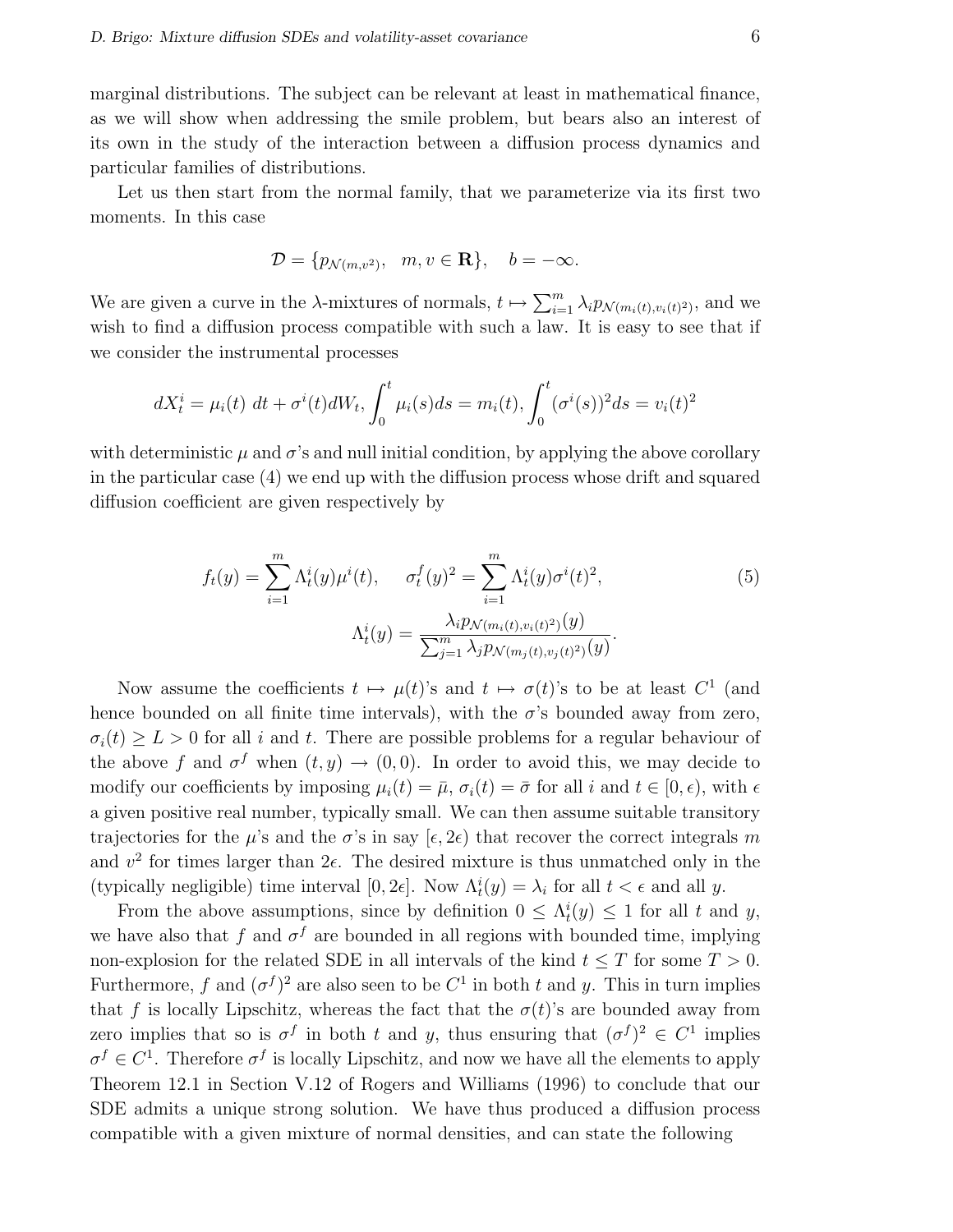marginal distributions. The subject can be relevant at least in mathematical finance, as we will show when addressing the smile problem, but bears also an interest of its own in the study of the interaction between a diffusion process dynamics and particular families of distributions.

Let us then start from the normal family, that we parameterize via its first two moments. In this case

$$
\mathcal{D} = \{p_{\mathcal{N}(m,v^2)}, m, v \in \mathbf{R}\}, \quad b = -\infty.
$$

We are given a curve in the  $\lambda$ -mixtures of normals,  $t \mapsto \sum_{i=1}^{m}$  $\sum_{i=1}^{m} \lambda_i p_{\mathcal{N}(m_i(t), v_i(t)^2)}$ , and we wish to find a diffusion process compatible with such a law. It is easy to see that if we consider the instrumental processes

$$
dX_t^i = \mu_i(t) \ dt + \sigma^i(t) dW_t, \int_0^t \mu_i(s) ds = m_i(t), \int_0^t (\sigma^i(s))^2 ds = v_i(t)^2
$$

with deterministic  $\mu$  and  $\sigma$ 's and null initial condition, by applying the above corollary in the particular case (4) we end up with the diffusion process whose drift and squared diffusion coefficient are given respectively by

$$
f_t(y) = \sum_{i=1}^m \Lambda_t^i(y)\mu^i(t), \quad \sigma_t^f(y)^2 = \sum_{i=1}^m \Lambda_t^i(y)\sigma^i(t)^2,
$$
  

$$
\Lambda_t^i(y) = \frac{\lambda_i p_{\mathcal{N}(m_i(t), v_i(t)^2)}(y)}{\sum_{j=1}^m \lambda_j p_{\mathcal{N}(m_j(t), v_j(t)^2)}(y)}.
$$
 (5)

Now assume the coefficients  $t \mapsto \mu(t)$ 's and  $t \mapsto \sigma(t)$ 's to be at least  $C^1$  (and hence bounded on all finite time intervals), with the  $\sigma$ 's bounded away from zero,  $\sigma_i(t) \geq L > 0$  for all i and t. There are possible problems for a regular behaviour of the above f and  $\sigma^f$  when  $(t, y) \to (0, 0)$ . In order to avoid this, we may decide to modify our coefficients by imposing  $\mu_i(t) = \bar{\mu}, \sigma_i(t) = \bar{\sigma}$  for all i and  $t \in [0, \epsilon)$ , with  $\epsilon$ a given positive real number, typically small. We can then assume suitable transitory trajectories for the  $\mu$ 's and the  $\sigma$ 's in say  $[\epsilon, 2\epsilon)$  that recover the correct integrals m and  $v^2$  for times larger than  $2\epsilon$ . The desired mixture is thus unmatched only in the (typically negligible) time interval  $[0, 2\epsilon]$ . Now  $\Lambda_t^i(y) = \lambda_i$  for all  $t < \epsilon$  and all y.

From the above assumptions, since by definition  $0 \leq \Lambda_t^i(y) \leq 1$  for all t and y, we have also that f and  $\sigma^f$  are bounded in all regions with bounded time, implying non-explosion for the related SDE in all intervals of the kind  $t \leq T$  for some  $T > 0$ . Furthermore, f and  $(\sigma^f)^2$  are also seen to be  $C^1$  in both t and y. This in turn implies that f is locally Lipschitz, whereas the fact that the  $\sigma(t)$ 's are bounded away from zero implies that so is  $\sigma^f$  in both t and y, thus ensuring that  $({\sigma}^f)^2 \in C^1$  implies  $\sigma^f \in C^1$ . Therefore  $\sigma^f$  is locally Lipschitz, and now we have all the elements to apply Theorem 12.1 in Section V.12 of Rogers and Williams (1996) to conclude that our SDE admits a unique strong solution. We have thus produced a diffusion process compatible with a given mixture of normal densities, and can state the following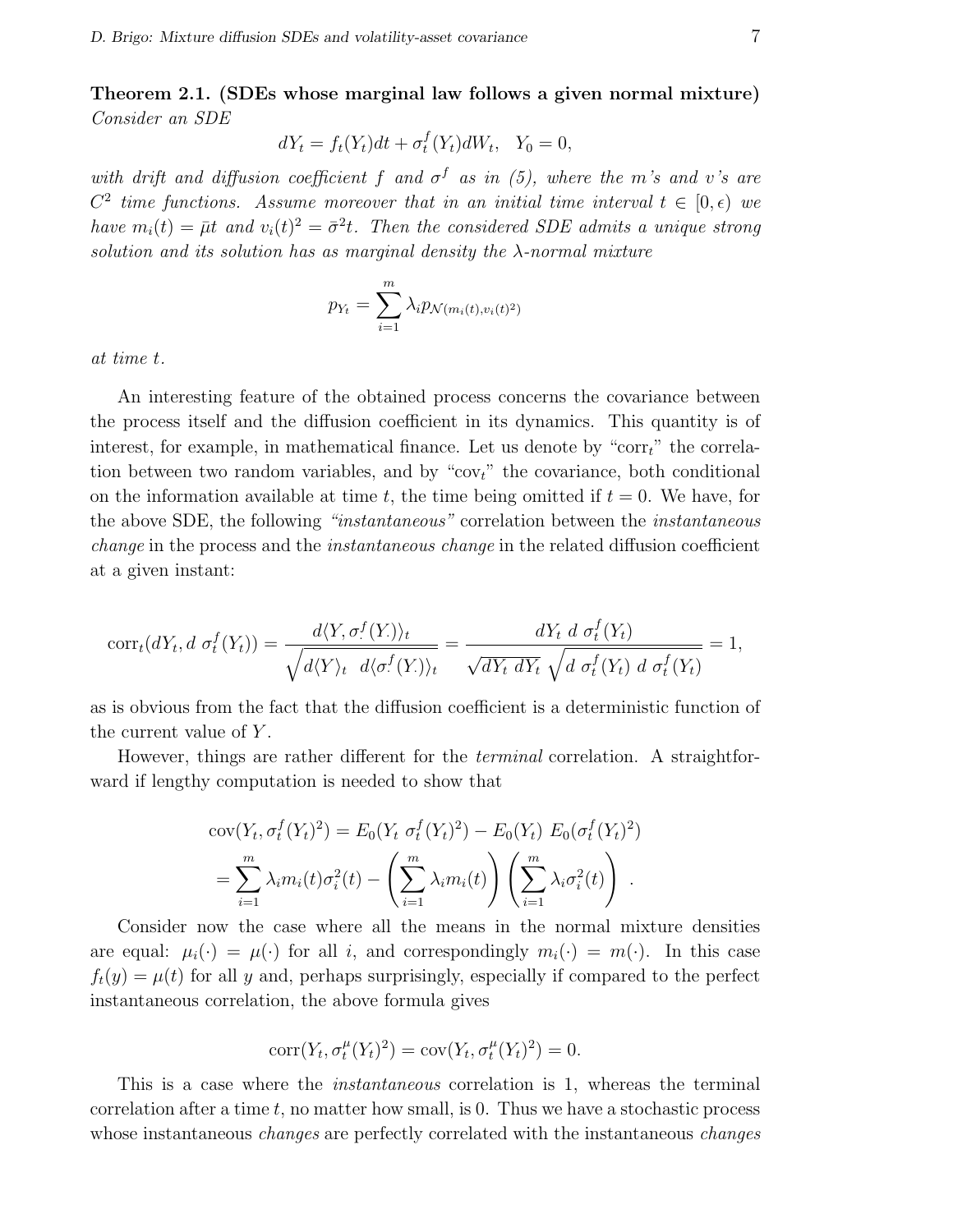Theorem 2.1. (SDEs whose marginal law follows a given normal mixture) Consider an SDE

$$
dY_t = f_t(Y_t)dt + \sigma_t^f(Y_t)dW_t, \quad Y_0 = 0,
$$

with drift and diffusion coefficient f and  $\sigma^f$  as in (5), where the m's and v's are  $C^2$  time functions. Assume moreover that in an initial time interval  $t \in [0, \epsilon)$  we have  $m_i(t) = \bar{\mu}t$  and  $v_i(t)^2 = \bar{\sigma}^2t$ . Then the considered SDE admits a unique strong solution and its solution has as marginal density the  $\lambda$ -normal mixture

$$
p_{Y_t} = \sum_{i=1}^m \lambda_i p_{\mathcal{N}(m_i(t), v_i(t)^2)}
$$

at time t.

An interesting feature of the obtained process concerns the covariance between the process itself and the diffusion coefficient in its dynamics. This quantity is of interest, for example, in mathematical finance. Let us denote by "corr $t$ " the correlation between two random variables, and by " $cov_t$ " the covariance, both conditional on the information available at time t, the time being omitted if  $t = 0$ . We have, for the above SDE, the following "instantaneous" correlation between the instantaneous change in the process and the instantaneous change in the related diffusion coefficient at a given instant:

$$
corr_t(dY_t, d \sigma_t^f(Y_t)) = \frac{d\langle Y, \sigma_t^f(Y_t)\rangle_t}{\sqrt{d\langle Y \rangle_t} \ d\langle \sigma_t^f(Y_t)\rangle_t} = \frac{dY_t \ d \sigma_t^f(Y_t)}{\sqrt{dY_t \ dY_t} \ \sqrt{d \sigma_t^f(Y_t)} \ d \sigma_t^f(Y_t)} = 1,
$$

as is obvious from the fact that the diffusion coefficient is a deterministic function of the current value of Y.

However, things are rather different for the *terminal* correlation. A straightforward if lengthy computation is needed to show that

$$
cov(Y_t, \sigma_t^f(Y_t)^2) = E_0(Y_t \sigma_t^f(Y_t)^2) - E_0(Y_t) E_0(\sigma_t^f(Y_t)^2)
$$
  
= 
$$
\sum_{i=1}^m \lambda_i m_i(t) \sigma_i^2(t) - \left(\sum_{i=1}^m \lambda_i m_i(t)\right) \left(\sum_{i=1}^m \lambda_i \sigma_i^2(t)\right).
$$

Consider now the case where all the means in the normal mixture densities are equal:  $\mu_i(\cdot) = \mu(\cdot)$  for all i, and correspondingly  $m_i(\cdot) = m(\cdot)$ . In this case  $f_t(y) = \mu(t)$  for all y and, perhaps surprisingly, especially if compared to the perfect instantaneous correlation, the above formula gives

$$
corr(Y_t, \sigma_t^{\mu}(Y_t)^2) = cov(Y_t, \sigma_t^{\mu}(Y_t)^2) = 0.
$$

This is a case where the instantaneous correlation is 1, whereas the terminal correlation after a time  $t$ , no matter how small, is 0. Thus we have a stochastic process whose instantaneous *changes* are perfectly correlated with the instantaneous *changes*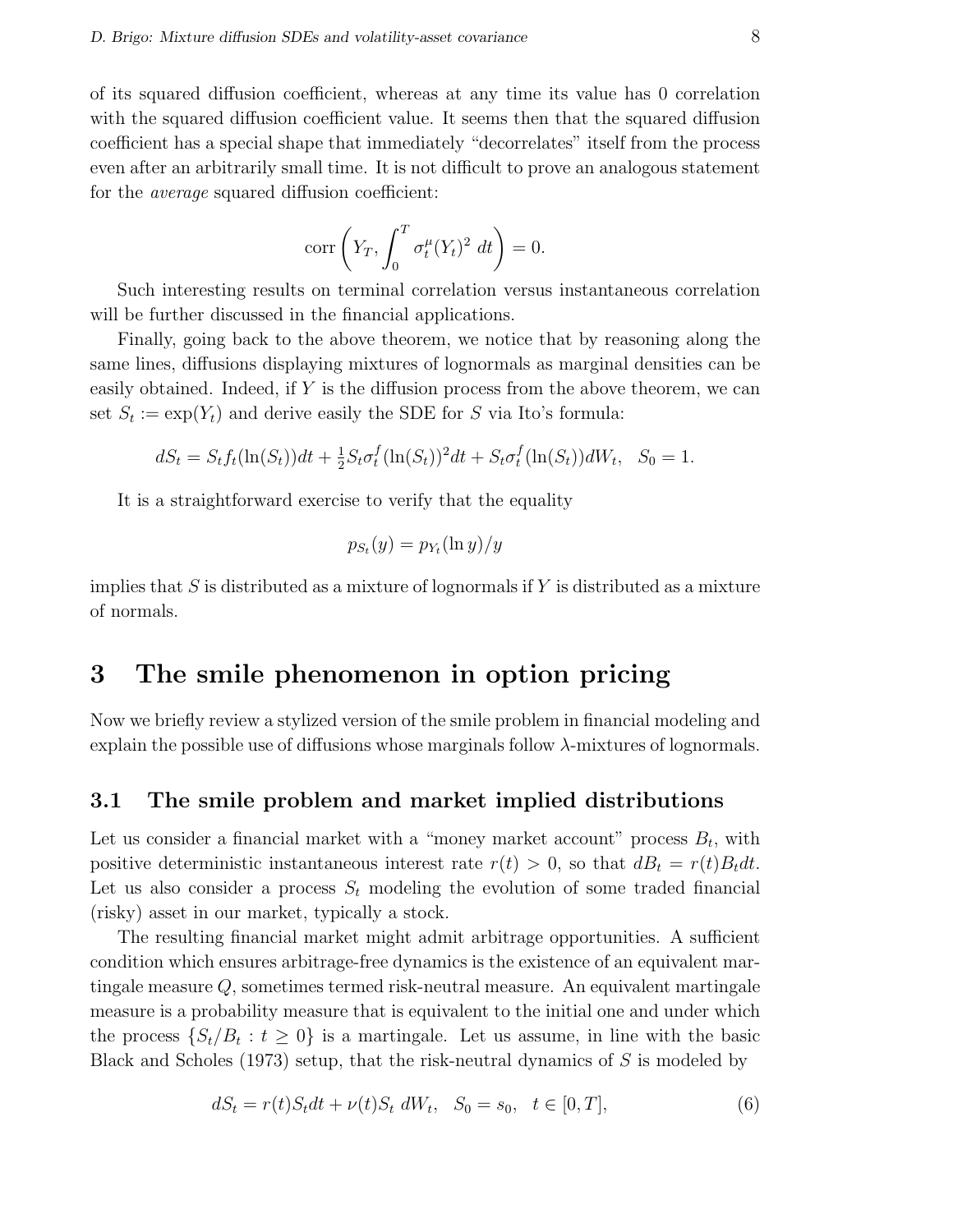of its squared diffusion coefficient, whereas at any time its value has 0 correlation with the squared diffusion coefficient value. It seems then that the squared diffusion coefficient has a special shape that immediately "decorrelates" itself from the process even after an arbitrarily small time. It is not difficult to prove an analogous statement for the average squared diffusion coefficient:

$$
\operatorname{corr}\left(Y_T, \int_0^T \sigma_t^{\mu}(Y_t)^2 \, dt\right) = 0.
$$

Such interesting results on terminal correlation versus instantaneous correlation will be further discussed in the financial applications.

Finally, going back to the above theorem, we notice that by reasoning along the same lines, diffusions displaying mixtures of lognormals as marginal densities can be easily obtained. Indeed, if Y is the diffusion process from the above theorem, we can set  $S_t := \exp(Y_t)$  and derive easily the SDE for S via Ito's formula:

$$
dS_t = S_t f_t(\ln(S_t))dt + \frac{1}{2}S_t \sigma_t^f(\ln(S_t))^2 dt + S_t \sigma_t^f(\ln(S_t))dW_t, \quad S_0 = 1.
$$

It is a straightforward exercise to verify that the equality

$$
p_{S_t}(y) = p_{Y_t}(\ln y)/y
$$

implies that  $S$  is distributed as a mixture of lognormals if  $Y$  is distributed as a mixture of normals.

## 3 The smile phenomenon in option pricing

Now we briefly review a stylized version of the smile problem in financial modeling and explain the possible use of diffusions whose marginals follow  $\lambda$ -mixtures of lognormals.

#### 3.1 The smile problem and market implied distributions

Let us consider a financial market with a "money market account" process  $B_t$ , with positive deterministic instantaneous interest rate  $r(t) > 0$ , so that  $dB_t = r(t)B_t dt$ . Let us also consider a process  $S_t$  modeling the evolution of some traded financial (risky) asset in our market, typically a stock.

The resulting financial market might admit arbitrage opportunities. A sufficient condition which ensures arbitrage-free dynamics is the existence of an equivalent martingale measure Q, sometimes termed risk-neutral measure. An equivalent martingale measure is a probability measure that is equivalent to the initial one and under which the process  $\{S_t/B_t : t \geq 0\}$  is a martingale. Let us assume, in line with the basic Black and Scholes (1973) setup, that the risk-neutral dynamics of  $S$  is modeled by

$$
dS_t = r(t)S_t dt + \nu(t)S_t dW_t, \quad S_0 = s_0, \quad t \in [0, T], \tag{6}
$$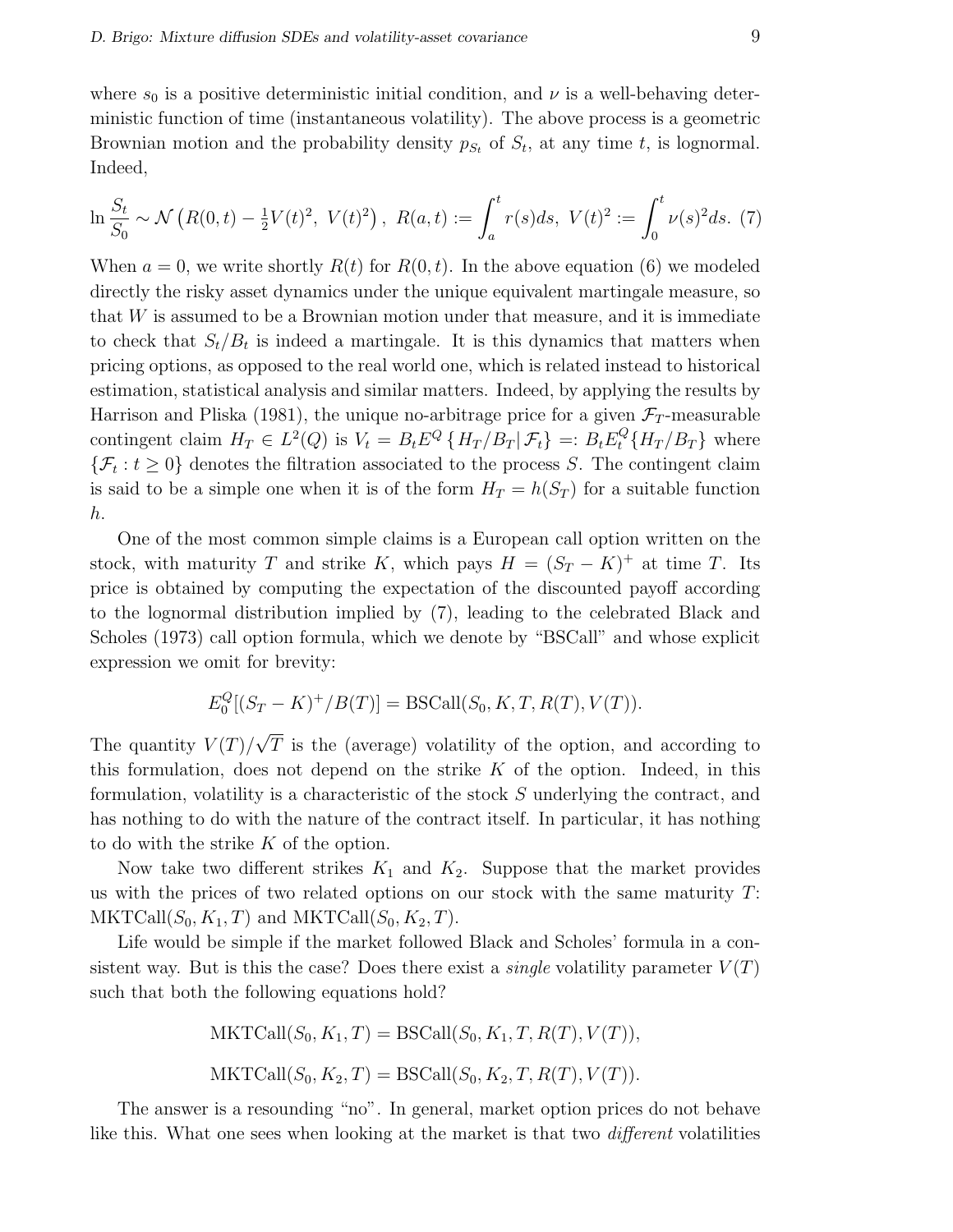where  $s_0$  is a positive deterministic initial condition, and  $\nu$  is a well-behaving deterministic function of time (instantaneous volatility). The above process is a geometric Brownian motion and the probability density  $p_{S_t}$  of  $S_t$ , at any time t, is lognormal. Indeed,

$$
\ln \frac{S_t}{S_0} \sim \mathcal{N}\left(R(0,t) - \frac{1}{2}V(t)^2, V(t)^2\right), \ R(a,t) := \int_a^t r(s)ds, \ V(t)^2 := \int_0^t \nu(s)^2 ds. \ (7)
$$

When  $a = 0$ , we write shortly  $R(t)$  for  $R(0, t)$ . In the above equation (6) we modeled directly the risky asset dynamics under the unique equivalent martingale measure, so that W is assumed to be a Brownian motion under that measure, and it is immediate to check that  $S_t/B_t$  is indeed a martingale. It is this dynamics that matters when pricing options, as opposed to the real world one, which is related instead to historical estimation, statistical analysis and similar matters. Indeed, by applying the results by Harrison and Pliska (1981), the unique no-arbitrage price for a given  $\mathcal{F}_T$ -measurable contingent claim  $H_T \in L^2(Q)$  is  $V_t = B_t E^Q \{ H_T / B_T | \mathcal{F}_t \} =: B_t E_t^Q \{ H_T / B_T \}$  where  $\{\mathcal{F}_t : t \geq 0\}$  denotes the filtration associated to the process S. The contingent claim is said to be a simple one when it is of the form  $H_T = h(S_T)$  for a suitable function h.

One of the most common simple claims is a European call option written on the stock, with maturity T and strike K, which pays  $H = (S_T - K)^+$  at time T. Its price is obtained by computing the expectation of the discounted payoff according to the lognormal distribution implied by (7), leading to the celebrated Black and Scholes (1973) call option formula, which we denote by "BSCall" and whose explicit expression we omit for brevity:

$$
E_0^Q[(S_T - K)^+/B(T)] = \text{BSCall}(S_0, K, T, R(T), V(T)).
$$

The quantity  $V(T)$ √ T is the (average) volatility of the option, and according to this formulation, does not depend on the strike  $K$  of the option. Indeed, in this formulation, volatility is a characteristic of the stock S underlying the contract, and has nothing to do with the nature of the contract itself. In particular, it has nothing to do with the strike K of the option.

Now take two different strikes  $K_1$  and  $K_2$ . Suppose that the market provides us with the prices of two related options on our stock with the same maturity  $T$ :  $MKTCall(S_0, K_1, T)$  and  $MKTCall(S_0, K_2, T)$ .

Life would be simple if the market followed Black and Scholes' formula in a consistent way. But is this the case? Does there exist a *single* volatility parameter  $V(T)$ such that both the following equations hold?

MKTCall
$$
(S_0, K_1, T)
$$
 = BSCall $(S_0, K_1, T, R(T), V(T))$ ,  
MKTCall $(S_0, K_2, T)$  = BSCall $(S_0, K_2, T, R(T), V(T))$ .

The answer is a resounding "no". In general, market option prices do not behave like this. What one sees when looking at the market is that two different volatilities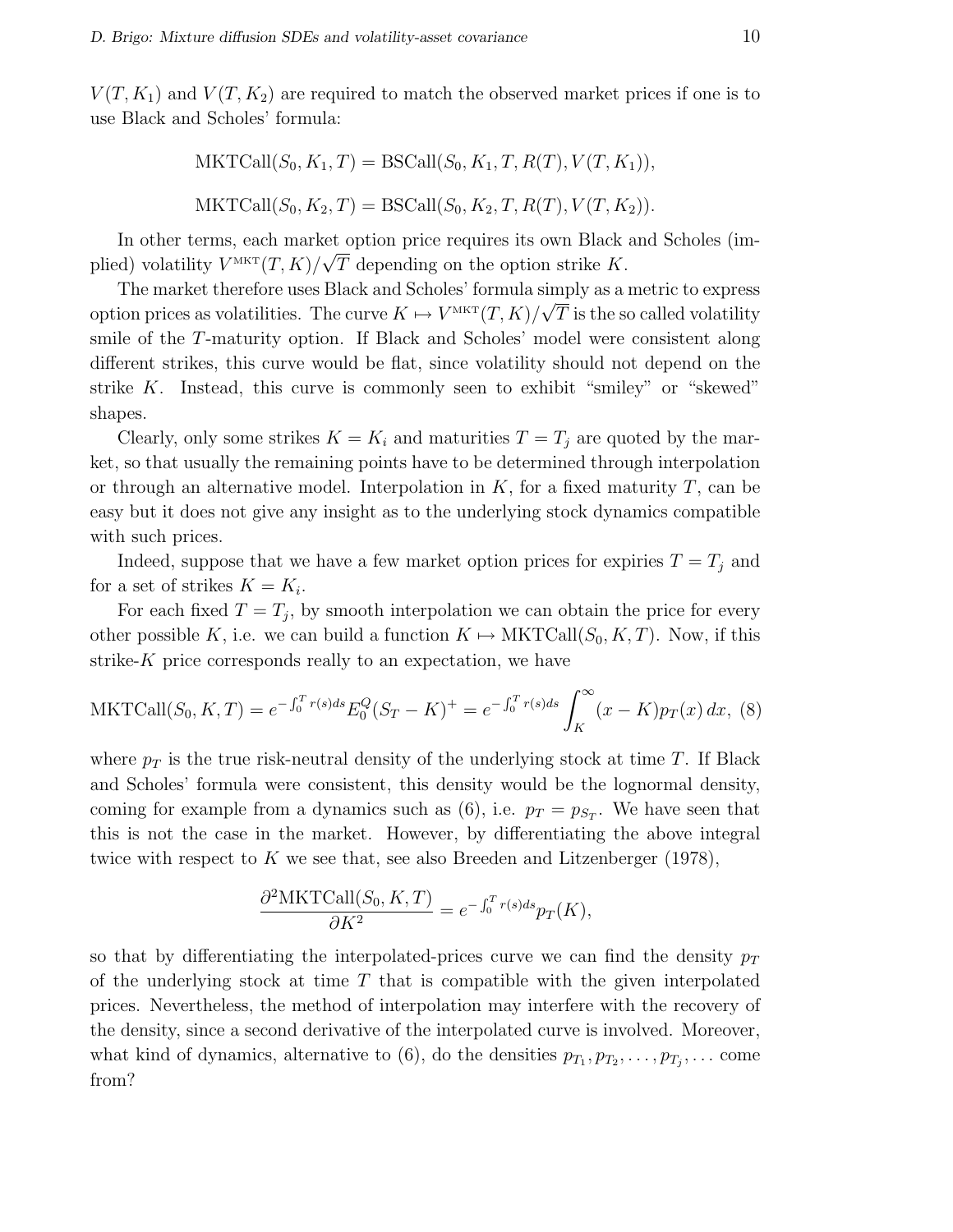$V(T, K_1)$  and  $V(T, K_2)$  are required to match the observed market prices if one is to use Black and Scholes' formula:

MKTCall
$$
(S_0, K_1, T)
$$
 = BSCall $(S_0, K_1, T, R(T), V(T, K_1)),$   
MKTCall $(S_0, K_2, T)$  = BSCall $(S_0, K_2, T, R(T), V(T, K_2)).$ 

In other terms, each market option price requires its own Black and Scholes (implied) volatility  $V^{\text{MKT}}(T,K)/\sqrt{T}$  depending on the option strike K.

The market therefore uses Black and Scholes' formula simply as a metric to express option prices as volatilities. The curve  $K \mapsto V^{MKT}(T,K)/\sqrt{T}$  is the so called volatility smile of the T-maturity option. If Black and Scholes' model were consistent along different strikes, this curve would be flat, since volatility should not depend on the strike K. Instead, this curve is commonly seen to exhibit "smiley" or "skewed" shapes.

Clearly, only some strikes  $K = K_i$  and maturities  $T = T_j$  are quoted by the market, so that usually the remaining points have to be determined through interpolation or through an alternative model. Interpolation in  $K$ , for a fixed maturity  $T$ , can be easy but it does not give any insight as to the underlying stock dynamics compatible with such prices.

Indeed, suppose that we have a few market option prices for expiries  $T = T_j$  and for a set of strikes  $K = K_i$ .

For each fixed  $T = T_j$ , by smooth interpolation we can obtain the price for every other possible K, i.e. we can build a function  $K \mapsto \text{MKTCall}(S_0, K, T)$ . Now, if this strike-K price corresponds really to an expectation, we have

MKTCall
$$
(S_0, K, T) = e^{-\int_0^T r(s)ds} E_0^Q (S_T - K)^+ = e^{-\int_0^T r(s)ds} \int_K^\infty (x - K) p_T(x) dx
$$
, (8)

where  $p_T$  is the true risk-neutral density of the underlying stock at time T. If Black and Scholes' formula were consistent, this density would be the lognormal density, coming for example from a dynamics such as  $(6)$ , i.e.  $p_T = p_{S_T}$ . We have seen that this is not the case in the market. However, by differentiating the above integral twice with respect to K we see that, see also Breeden and Litzenberger  $(1978)$ ,

$$
\frac{\partial^2 \text{MKTCall}(S_0, K, T)}{\partial K^2} = e^{-\int_0^T r(s)ds} p_T(K),
$$

so that by differentiating the interpolated-prices curve we can find the density  $p_T$ of the underlying stock at time  $T$  that is compatible with the given interpolated prices. Nevertheless, the method of interpolation may interfere with the recovery of the density, since a second derivative of the interpolated curve is involved. Moreover, what kind of dynamics, alternative to (6), do the densities  $p_{T_1}, p_{T_2}, \ldots, p_{T_j}, \ldots$  come from?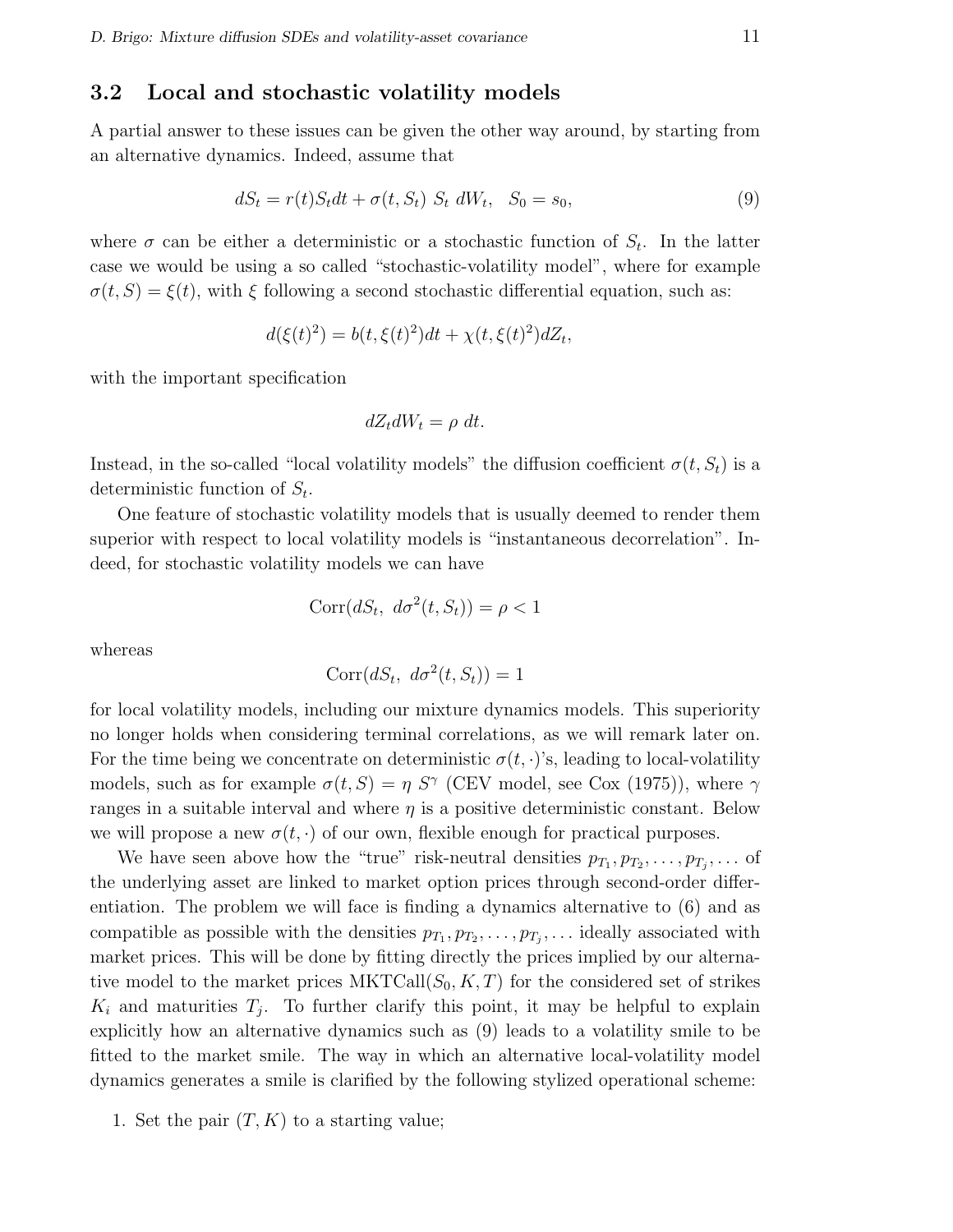#### 3.2 Local and stochastic volatility models

A partial answer to these issues can be given the other way around, by starting from an alternative dynamics. Indeed, assume that

$$
dS_t = r(t)S_t dt + \sigma(t, S_t) S_t dW_t, S_0 = s_0,
$$
\n
$$
(9)
$$

where  $\sigma$  can be either a deterministic or a stochastic function of  $S_t$ . In the latter case we would be using a so called "stochastic-volatility model", where for example  $\sigma(t, S) = \xi(t)$ , with  $\xi$  following a second stochastic differential equation, such as:

$$
d(\xi(t)^{2}) = b(t, \xi(t)^{2})dt + \chi(t, \xi(t)^{2})dZ_{t},
$$

with the important specification

$$
dZ_t dW_t = \rho \ dt.
$$

Instead, in the so-called "local volatility models" the diffusion coefficient  $\sigma(t, S_t)$  is a deterministic function of  $S_t$ .

One feature of stochastic volatility models that is usually deemed to render them superior with respect to local volatility models is "instantaneous decorrelation". Indeed, for stochastic volatility models we can have

$$
Corr(dS_t, d\sigma^2(t, S_t)) = \rho < 1
$$

whereas

$$
Corr(dS_t, d\sigma^2(t, S_t)) = 1
$$

for local volatility models, including our mixture dynamics models. This superiority no longer holds when considering terminal correlations, as we will remark later on. For the time being we concentrate on deterministic  $\sigma(t, \cdot)$ 's, leading to local-volatility models, such as for example  $\sigma(t, S) = \eta S^{\gamma}$  (CEV model, see Cox (1975)), where  $\gamma$ ranges in a suitable interval and where  $\eta$  is a positive deterministic constant. Below we will propose a new  $\sigma(t, \cdot)$  of our own, flexible enough for practical purposes.

We have seen above how the "true" risk-neutral densities  $p_{T_1}, p_{T_2}, \ldots, p_{T_j}, \ldots$  of the underlying asset are linked to market option prices through second-order differentiation. The problem we will face is finding a dynamics alternative to (6) and as compatible as possible with the densities  $p_{T_1}, p_{T_2}, \ldots, p_{T_j}, \ldots$  ideally associated with market prices. This will be done by fitting directly the prices implied by our alternative model to the market prices  $MKTCall(S_0, K, T)$  for the considered set of strikes  $K_i$  and maturities  $T_j$ . To further clarify this point, it may be helpful to explain explicitly how an alternative dynamics such as (9) leads to a volatility smile to be fitted to the market smile. The way in which an alternative local-volatility model dynamics generates a smile is clarified by the following stylized operational scheme:

1. Set the pair  $(T, K)$  to a starting value;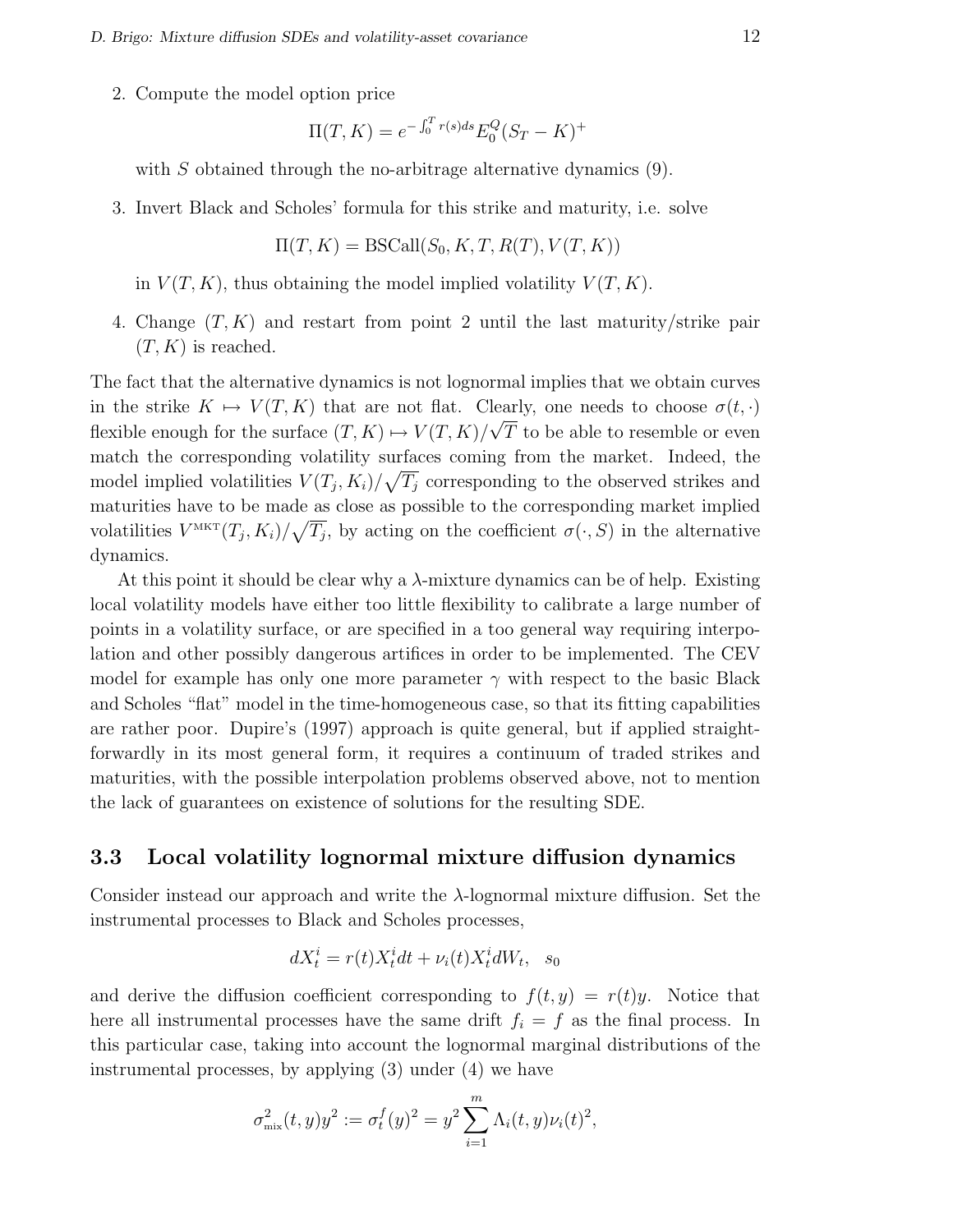2. Compute the model option price

$$
\Pi(T, K) = e^{-\int_0^T r(s)ds} E_0^Q (S_T - K)^+
$$

with  $S$  obtained through the no-arbitrage alternative dynamics  $(9)$ .

3. Invert Black and Scholes' formula for this strike and maturity, i.e. solve

$$
\Pi(T, K) = \text{BSCall}(S_0, K, T, R(T), V(T, K))
$$

in  $V(T, K)$ , thus obtaining the model implied volatility  $V(T, K)$ .

4. Change  $(T, K)$  and restart from point 2 until the last maturity/strike pair  $(T, K)$  is reached.

The fact that the alternative dynamics is not lognormal implies that we obtain curves in the strike  $K \mapsto V(T, K)$  that are not flat. Clearly, one needs to choose  $\sigma(t, \cdot)$ flexible enough for the surface  $(T, K) \mapsto V(T, K)/\sqrt{T}$  to be able to resemble or even match the corresponding volatility surfaces coming from the market. Indeed, the model implied volatilities  $V(T_j, K_i)/\sqrt{T_j}$  corresponding to the observed strikes and maturities have to be made as close as possible to the corresponding market implied volatilities  $V^{\text{MKT}}(T_j, K_i)/\sqrt{T_j}$ , by acting on the coefficient  $\sigma(\cdot, S)$  in the alternative dynamics.

At this point it should be clear why a  $\lambda$ -mixture dynamics can be of help. Existing local volatility models have either too little flexibility to calibrate a large number of points in a volatility surface, or are specified in a too general way requiring interpolation and other possibly dangerous artifices in order to be implemented. The CEV model for example has only one more parameter  $\gamma$  with respect to the basic Black and Scholes "flat" model in the time-homogeneous case, so that its fitting capabilities are rather poor. Dupire's (1997) approach is quite general, but if applied straightforwardly in its most general form, it requires a continuum of traded strikes and maturities, with the possible interpolation problems observed above, not to mention the lack of guarantees on existence of solutions for the resulting SDE.

#### 3.3 Local volatility lognormal mixture diffusion dynamics

Consider instead our approach and write the λ-lognormal mixture diffusion. Set the instrumental processes to Black and Scholes processes,

$$
dX_t^i = r(t)X_t^i dt + \nu_i(t)X_t^i dW_t, \quad s_0
$$

and derive the diffusion coefficient corresponding to  $f(t, y) = r(t)y$ . Notice that here all instrumental processes have the same drift  $f_i = f$  as the final process. In this particular case, taking into account the lognormal marginal distributions of the instrumental processes, by applying (3) under (4) we have

$$
\sigma_{\max}^2(t, y)y^2 := \sigma_t^f(y)^2 = y^2 \sum_{i=1}^m \Lambda_i(t, y)\nu_i(t)^2,
$$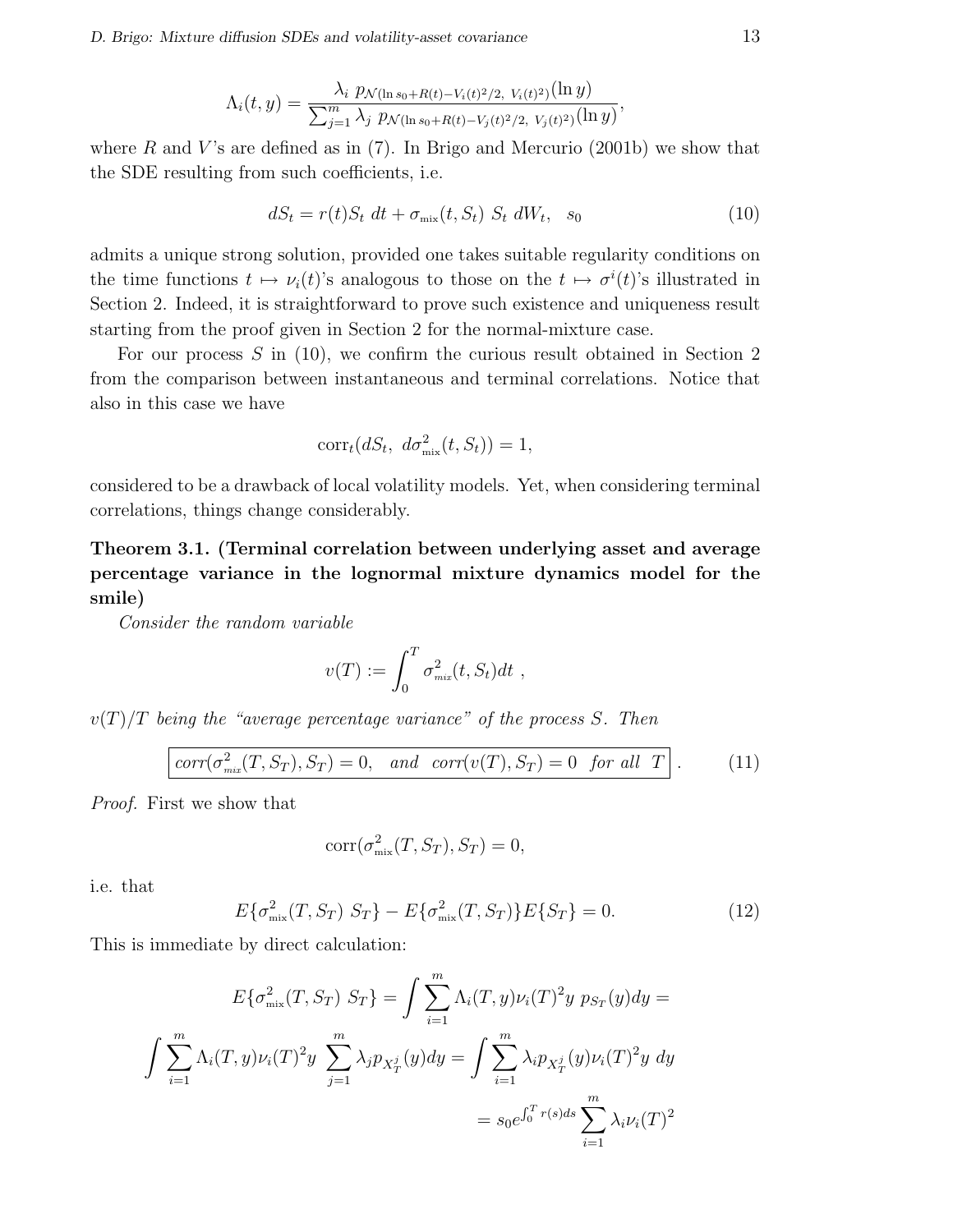D. Brigo: Mixture diffusion SDEs and volatility-asset covariance 13

$$
\Lambda_i(t,y) = \frac{\lambda_i \ p_{\mathcal{N}(\ln s_0 + R(t) - V_i(t)^2/2, V_i(t)^2)}(\ln y)}{\sum_{j=1}^m \lambda_j \ p_{\mathcal{N}(\ln s_0 + R(t) - V_j(t)^2/2, V_j(t)^2)}(\ln y)},
$$

where R and V's are defined as in  $(7)$ . In Brigo and Mercurio  $(2001b)$  we show that the SDE resulting from such coefficients, i.e.

$$
dS_t = r(t)S_t dt + \sigma_{\text{mix}}(t, S_t) S_t dW_t, s_0
$$
\n(10)

admits a unique strong solution, provided one takes suitable regularity conditions on the time functions  $t \mapsto \nu_i(t)$ 's analogous to those on the  $t \mapsto \sigma^i(t)$ 's illustrated in Section 2. Indeed, it is straightforward to prove such existence and uniqueness result starting from the proof given in Section 2 for the normal-mixture case.

For our process  $S$  in (10), we confirm the curious result obtained in Section 2 from the comparison between instantaneous and terminal correlations. Notice that also in this case we have

$$
corr_t(dS_t, d\sigma_{\text{mix}}^2(t, S_t)) = 1,
$$

considered to be a drawback of local volatility models. Yet, when considering terminal correlations, things change considerably.

Theorem 3.1. (Terminal correlation between underlying asset and average percentage variance in the lognormal mixture dynamics model for the smile)

Consider the random variable

$$
v(T) := \int_0^T \sigma_{\min}^2(t, S_t) dt ,
$$

 $v(T)/T$  being the "average percentage variance" of the process S. Then

$$
corr(\sigma_{\scriptscriptstyle{mix}}^2(T, S_T), S_T) = 0, \quad and \quad corr(v(T), S_T) = 0 \quad \text{for all} \quad T \ . \tag{11}
$$

Proof. First we show that

$$
corr(\sigma_{\text{mix}}^2(T, S_T), S_T) = 0,
$$

i.e. that

$$
E\{\sigma_{\text{mix}}^2(T, S_T) \ S_T\} - E\{\sigma_{\text{mix}}^2(T, S_T)\} E\{S_T\} = 0. \tag{12}
$$

This is immediate by direct calculation:

$$
E\{\sigma_{\text{mix}}^2(T, S_T) \ S_T\} = \int \sum_{i=1}^m \Lambda_i(T, y)\nu_i(T)^2 y \ p_{S_T}(y) dy =
$$

$$
\int \sum_{i=1}^m \Lambda_i(T, y)\nu_i(T)^2 y \ \sum_{j=1}^m \lambda_j p_{X_T^j}(y) dy = \int \sum_{i=1}^m \lambda_i p_{X_T^j}(y)\nu_i(T)^2 y \ dy
$$

$$
= s_0 e^{\int_0^T r(s) ds} \sum_{i=1}^m \lambda_i \nu_i(T)^2
$$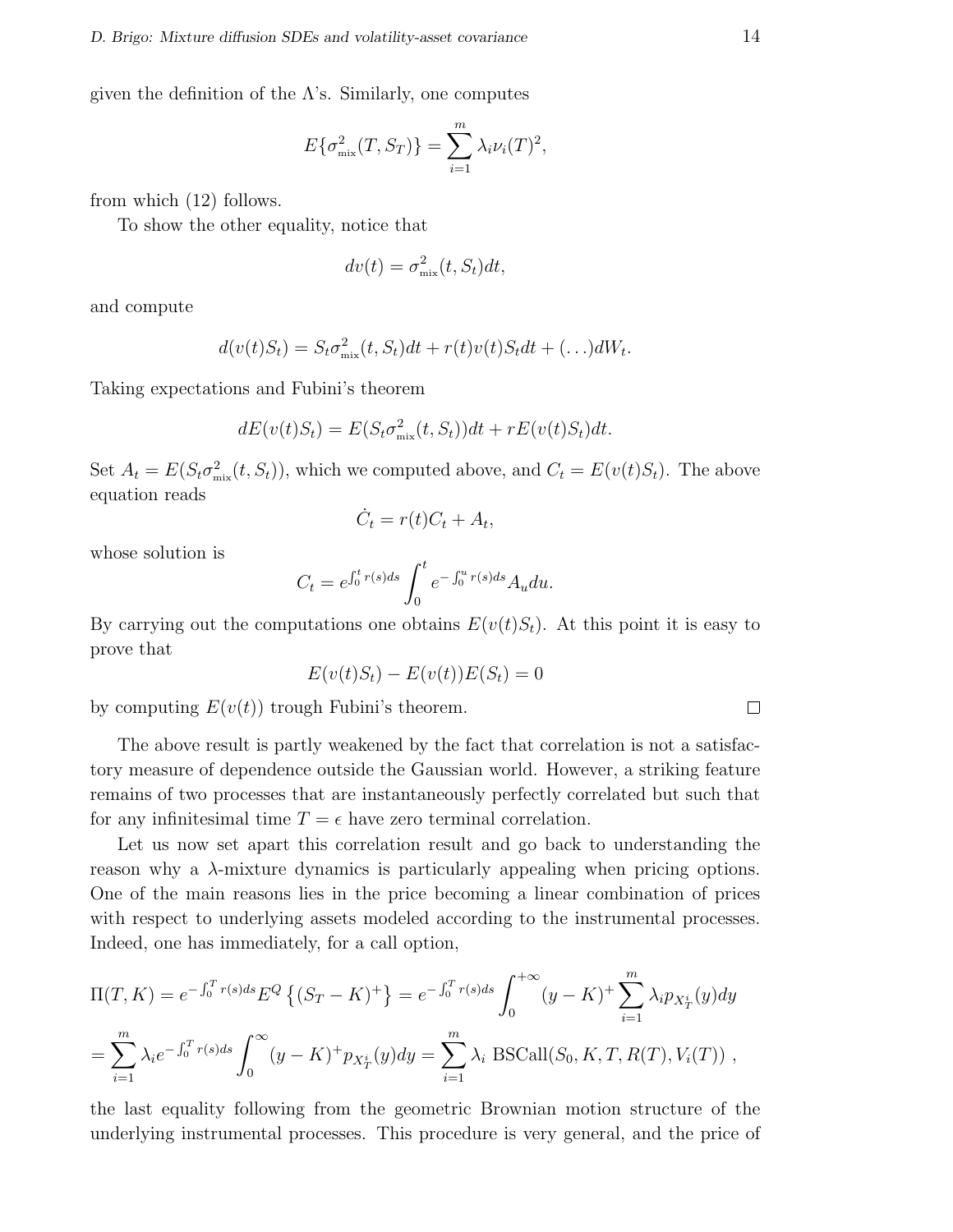given the definition of the  $\Lambda$ 's. Similarly, one computes

$$
E\{\sigma_{\text{mix}}^2(T, S_T)\} = \sum_{i=1}^m \lambda_i \nu_i(T)^2,
$$

from which (12) follows.

To show the other equality, notice that

$$
dv(t) = \sigma_{\text{mix}}^2(t, S_t)dt,
$$

and compute

$$
d(v(t)S_t) = S_t \sigma_{\text{mix}}^2(t, S_t)dt + r(t)v(t)S_t dt + (\ldots)dW_t.
$$

Taking expectations and Fubini's theorem

$$
dE(v(t)S_t) = E(S_t \sigma_{\text{mix}}^2(t, S_t))dt + rE(v(t)S_t)dt.
$$

Set  $A_t = E(S_t \sigma_{\text{mix}}^2(t, S_t))$ , which we computed above, and  $C_t = E(v(t)S_t)$ . The above equation reads

$$
\dot{C}_t = r(t)C_t + A_t,
$$

whose solution is

$$
C_t = e^{\int_0^t r(s)ds} \int_0^t e^{-\int_0^u r(s)ds} A_u du.
$$

By carrying out the computations one obtains  $E(v(t)S_t)$ . At this point it is easy to prove that

$$
E(v(t)S_t) - E(v(t))E(S_t) = 0
$$

by computing  $E(v(t))$  trough Fubini's theorem.

The above result is partly weakened by the fact that correlation is not a satisfactory measure of dependence outside the Gaussian world. However, a striking feature remains of two processes that are instantaneously perfectly correlated but such that for any infinitesimal time  $T = \epsilon$  have zero terminal correlation.

Let us now set apart this correlation result and go back to understanding the reason why a  $\lambda$ -mixture dynamics is particularly appealing when pricing options. One of the main reasons lies in the price becoming a linear combination of prices with respect to underlying assets modeled according to the instrumental processes. Indeed, one has immediately, for a call option,

$$
\Pi(T, K) = e^{-\int_0^T r(s)ds} E^Q \left\{ (S_T - K)^+\right\} = e^{-\int_0^T r(s)ds} \int_0^{+\infty} (y - K)^+ \sum_{i=1}^m \lambda_i p_{X_T^i}(y) dy
$$
  
= 
$$
\sum_{i=1}^m \lambda_i e^{-\int_0^T r(s)ds} \int_0^{\infty} (y - K)^+ p_{X_T^i}(y) dy = \sum_{i=1}^m \lambda_i \text{ BSCall}(S_0, K, T, R(T), V_i(T)),
$$

the last equality following from the geometric Brownian motion structure of the underlying instrumental processes. This procedure is very general, and the price of

$$
\qquad \qquad \Box
$$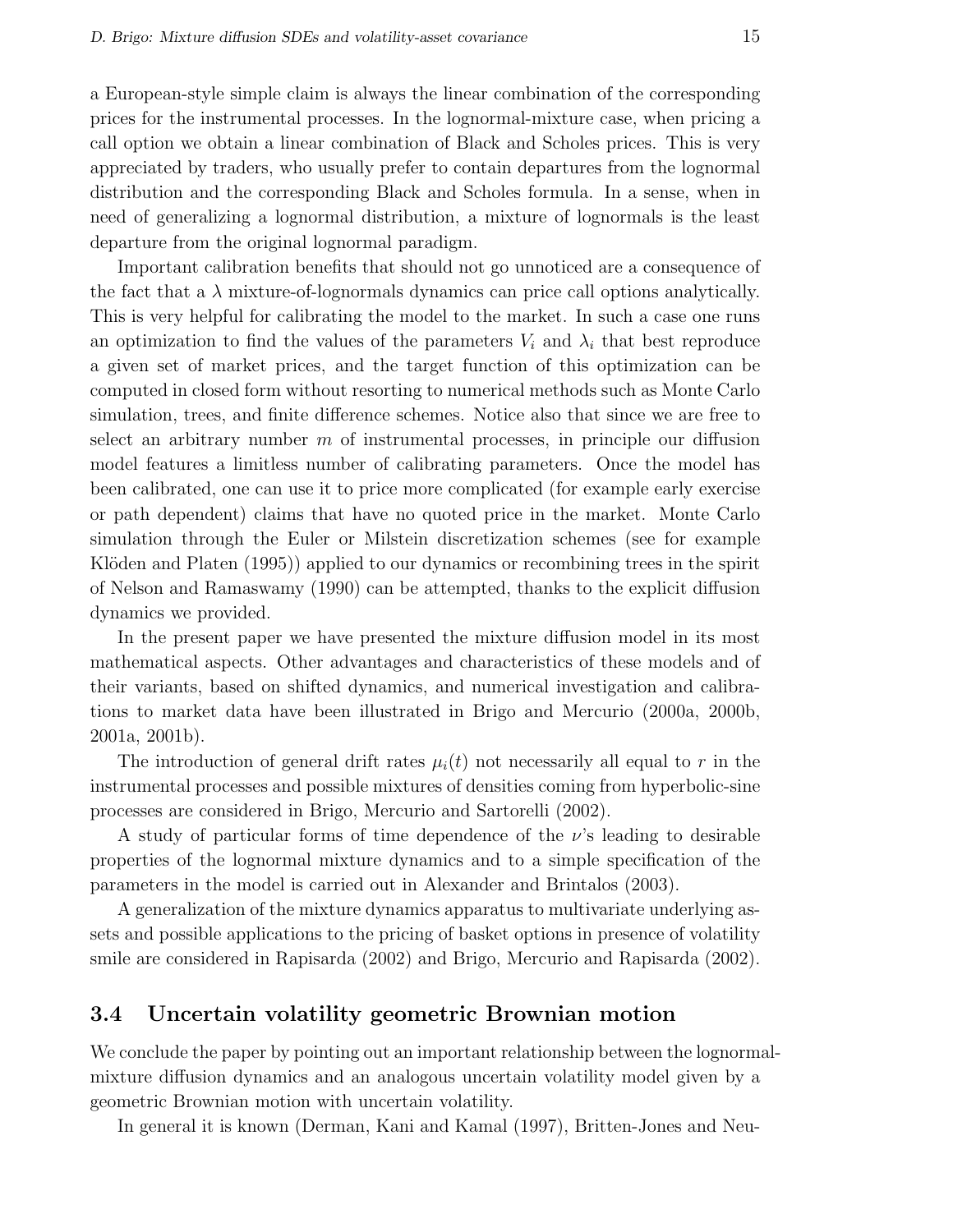a European-style simple claim is always the linear combination of the corresponding prices for the instrumental processes. In the lognormal-mixture case, when pricing a call option we obtain a linear combination of Black and Scholes prices. This is very appreciated by traders, who usually prefer to contain departures from the lognormal distribution and the corresponding Black and Scholes formula. In a sense, when in need of generalizing a lognormal distribution, a mixture of lognormals is the least departure from the original lognormal paradigm.

Important calibration benefits that should not go unnoticed are a consequence of the fact that a  $\lambda$  mixture-of-lognormals dynamics can price call options analytically. This is very helpful for calibrating the model to the market. In such a case one runs an optimization to find the values of the parameters  $V_i$  and  $\lambda_i$  that best reproduce a given set of market prices, and the target function of this optimization can be computed in closed form without resorting to numerical methods such as Monte Carlo simulation, trees, and finite difference schemes. Notice also that since we are free to select an arbitrary number  $m$  of instrumental processes, in principle our diffusion model features a limitless number of calibrating parameters. Once the model has been calibrated, one can use it to price more complicated (for example early exercise or path dependent) claims that have no quoted price in the market. Monte Carlo simulation through the Euler or Milstein discretization schemes (see for example Klöden and Platen (1995)) applied to our dynamics or recombining trees in the spirit of Nelson and Ramaswamy (1990) can be attempted, thanks to the explicit diffusion dynamics we provided.

In the present paper we have presented the mixture diffusion model in its most mathematical aspects. Other advantages and characteristics of these models and of their variants, based on shifted dynamics, and numerical investigation and calibrations to market data have been illustrated in Brigo and Mercurio (2000a, 2000b, 2001a, 2001b).

The introduction of general drift rates  $\mu_i(t)$  not necessarily all equal to r in the instrumental processes and possible mixtures of densities coming from hyperbolic-sine processes are considered in Brigo, Mercurio and Sartorelli (2002).

A study of particular forms of time dependence of the  $\nu$ 's leading to desirable properties of the lognormal mixture dynamics and to a simple specification of the parameters in the model is carried out in Alexander and Brintalos (2003).

A generalization of the mixture dynamics apparatus to multivariate underlying assets and possible applications to the pricing of basket options in presence of volatility smile are considered in Rapisarda (2002) and Brigo, Mercurio and Rapisarda (2002).

#### 3.4 Uncertain volatility geometric Brownian motion

We conclude the paper by pointing out an important relationship between the lognormalmixture diffusion dynamics and an analogous uncertain volatility model given by a geometric Brownian motion with uncertain volatility.

In general it is known (Derman, Kani and Kamal (1997), Britten-Jones and Neu-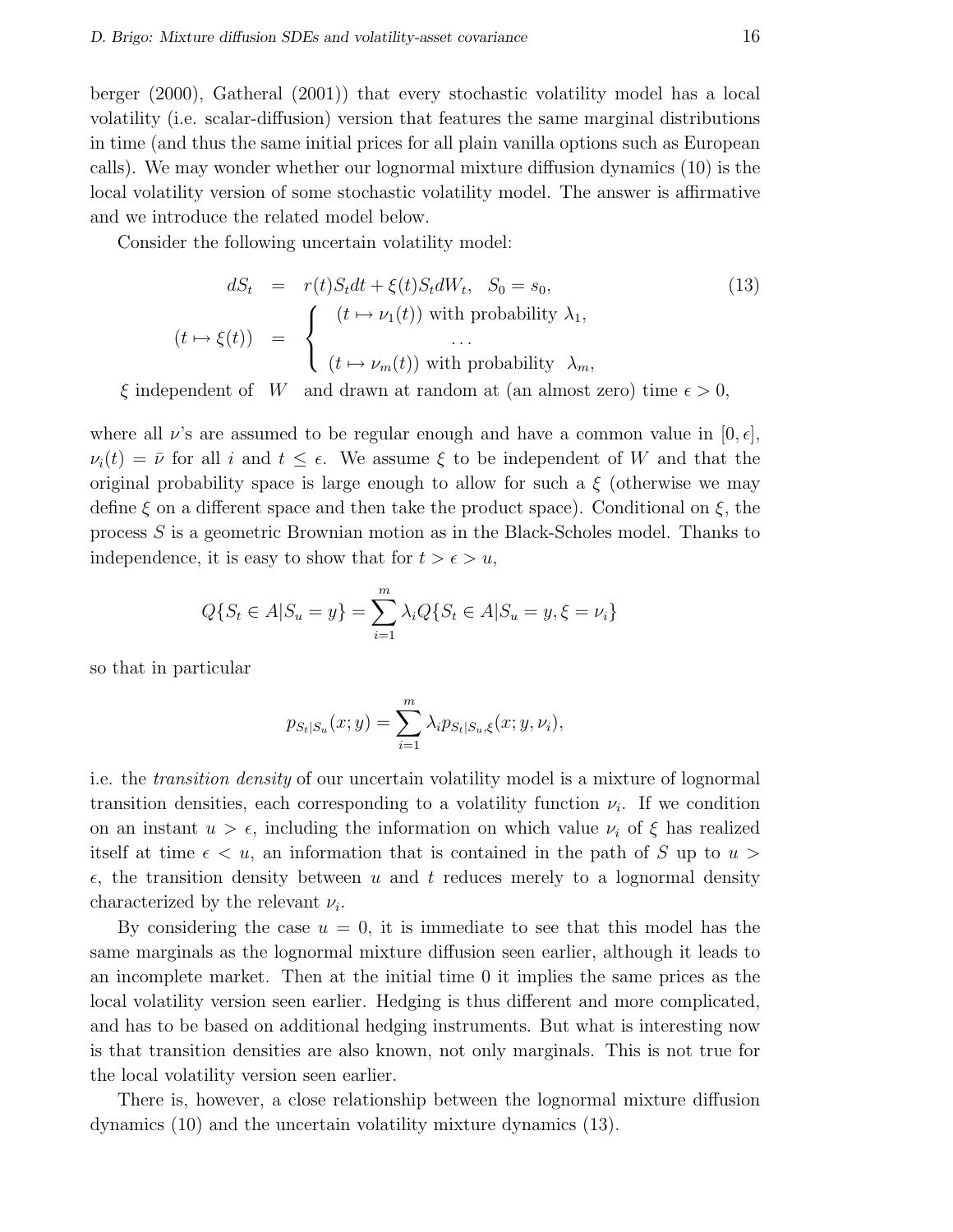berger (2000), Gatheral (2001)) that every stochastic volatility model has a local volatility (i.e. scalar-diffusion) version that features the same marginal distributions in time (and thus the same initial prices for all plain vanilla options such as European calls). We may wonder whether our lognormal mixture diffusion dynamics (10) is the local volatility version of some stochastic volatility model. The answer is affirmative and we introduce the related model below.

Consider the following uncertain volatility model:

$$
dS_t = r(t)S_t dt + \xi(t)S_t dW_t, S_0 = s_0,
$$
\n
$$
(t \mapsto \xi(t)) = \begin{cases} (t \mapsto \nu_1(t)) \text{ with probability } \lambda_1, \\ \dots \\ (t \mapsto \nu_m(t)) \text{ with probability } \lambda_m, \end{cases}
$$
\n
$$
(13)
$$

 $\xi$  independent of W and drawn at random at (an almost zero) time  $\epsilon > 0$ ,

where all  $\nu$ 's are assumed to be regular enough and have a common value in  $[0, \epsilon],$  $\nu_i(t) = \bar{\nu}$  for all i and  $t \leq \epsilon$ . We assume  $\xi$  to be independent of W and that the original probability space is large enough to allow for such a  $\xi$  (otherwise we may define  $\xi$  on a different space and then take the product space). Conditional on  $\xi$ , the process S is a geometric Brownian motion as in the Black-Scholes model. Thanks to independence, it is easy to show that for  $t > \epsilon > u$ ,

$$
Q\{S_t \in A | S_u = y\} = \sum_{i=1}^m \lambda_i Q\{S_t \in A | S_u = y, \xi = \nu_i\}
$$

so that in particular

$$
p_{S_t|S_u}(x; y) = \sum_{i=1}^{m} \lambda_i p_{S_t|S_u, \xi}(x; y, \nu_i),
$$

i.e. the transition density of our uncertain volatility model is a mixture of lognormal transition densities, each corresponding to a volatility function  $\nu_i$ . If we condition on an instant  $u > \epsilon$ , including the information on which value  $\nu_i$  of  $\xi$  has realized itself at time  $\epsilon < u$ , an information that is contained in the path of S up to  $u >$  $\epsilon$ , the transition density between u and t reduces merely to a lognormal density characterized by the relevant  $\nu_i$ .

By considering the case  $u = 0$ , it is immediate to see that this model has the same marginals as the lognormal mixture diffusion seen earlier, although it leads to an incomplete market. Then at the initial time 0 it implies the same prices as the local volatility version seen earlier. Hedging is thus different and more complicated, and has to be based on additional hedging instruments. But what is interesting now is that transition densities are also known, not only marginals. This is not true for the local volatility version seen earlier.

There is, however, a close relationship between the lognormal mixture diffusion dynamics (10) and the uncertain volatility mixture dynamics (13).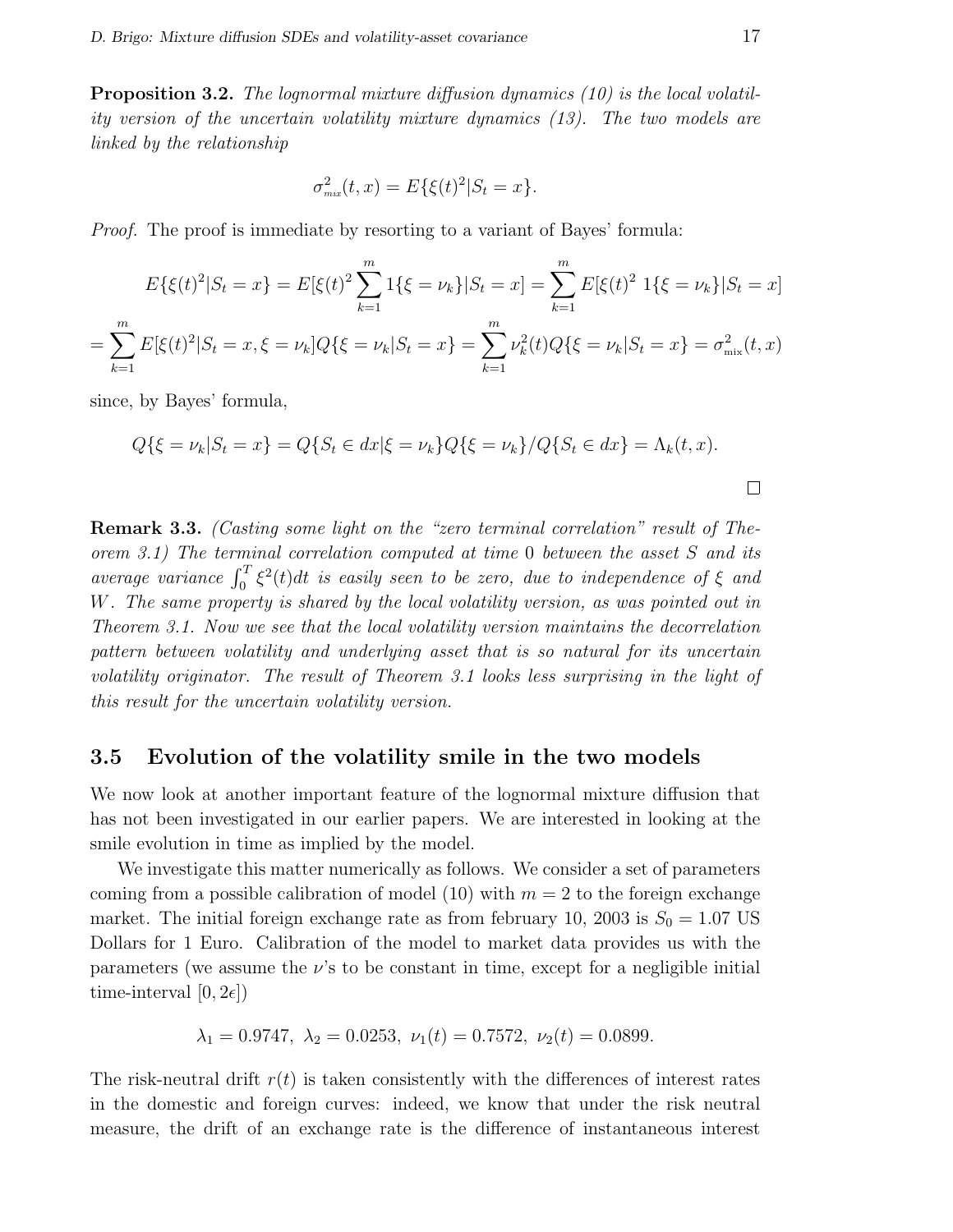Proposition 3.2. The lognormal mixture diffusion dynamics (10) is the local volatility version of the uncertain volatility mixture dynamics (13). The two models are linked by the relationship

$$
\sigma_{\text{mix}}^2(t, x) = E\{\xi(t)^2 | S_t = x\}.
$$

Proof. The proof is immediate by resorting to a variant of Bayes' formula:

$$
E\{\xi(t)^2|S_t = x\} = E[\xi(t)^2 \sum_{k=1}^m 1\{\xi = \nu_k\}|S_t = x] = \sum_{k=1}^m E[\xi(t)^2 \ 1\{\xi = \nu_k\}|S_t = x]
$$

$$
\sum_{k=1}^m E[\xi(t)^2|S_t = x, \xi = \nu_k]Q\{\xi = \nu_k|S_t = x\} = \sum_{k=1}^m \nu_k^2(t)Q\{\xi = \nu_k|S_t = x\} = \sigma_{\text{mix}}^2(t, x)
$$

since, by Bayes' formula,

=

$$
Q\{\xi = \nu_k | S_t = x\} = Q\{S_t \in dx | \xi = \nu_k\} Q\{\xi = \nu_k\} / Q\{S_t \in dx\} = \Lambda_k(t, x).
$$

Remark 3.3. (Casting some light on the "zero terminal correlation" result of Theorem 3.1) The terminal correlation computed at time 0 between the asset S and its brem 5.1) The terminal correlation computed at time 6 between the asset 5 and its<br>average variance  $\int_0^T \xi^2(t)dt$  is easily seen to be zero, due to independence of  $\xi$  and W. The same property is shared by the local volatility version, as was pointed out in Theorem 3.1. Now we see that the local volatility version maintains the decorrelation pattern between volatility and underlying asset that is so natural for its uncertain volatility originator. The result of Theorem 3.1 looks less surprising in the light of this result for the uncertain volatility version.

#### 3.5 Evolution of the volatility smile in the two models

We now look at another important feature of the lognormal mixture diffusion that has not been investigated in our earlier papers. We are interested in looking at the smile evolution in time as implied by the model.

We investigate this matter numerically as follows. We consider a set of parameters coming from a possible calibration of model (10) with  $m = 2$  to the foreign exchange market. The initial foreign exchange rate as from february 10, 2003 is  $S_0 = 1.07$  US Dollars for 1 Euro. Calibration of the model to market data provides us with the parameters (we assume the  $\nu$ 's to be constant in time, except for a negligible initial time-interval  $[0, 2\epsilon]$ 

$$
\lambda_1 = 0.9747, \ \lambda_2 = 0.0253, \ \nu_1(t) = 0.7572, \ \nu_2(t) = 0.0899.
$$

The risk-neutral drift  $r(t)$  is taken consistently with the differences of interest rates in the domestic and foreign curves: indeed, we know that under the risk neutral measure, the drift of an exchange rate is the difference of instantaneous interest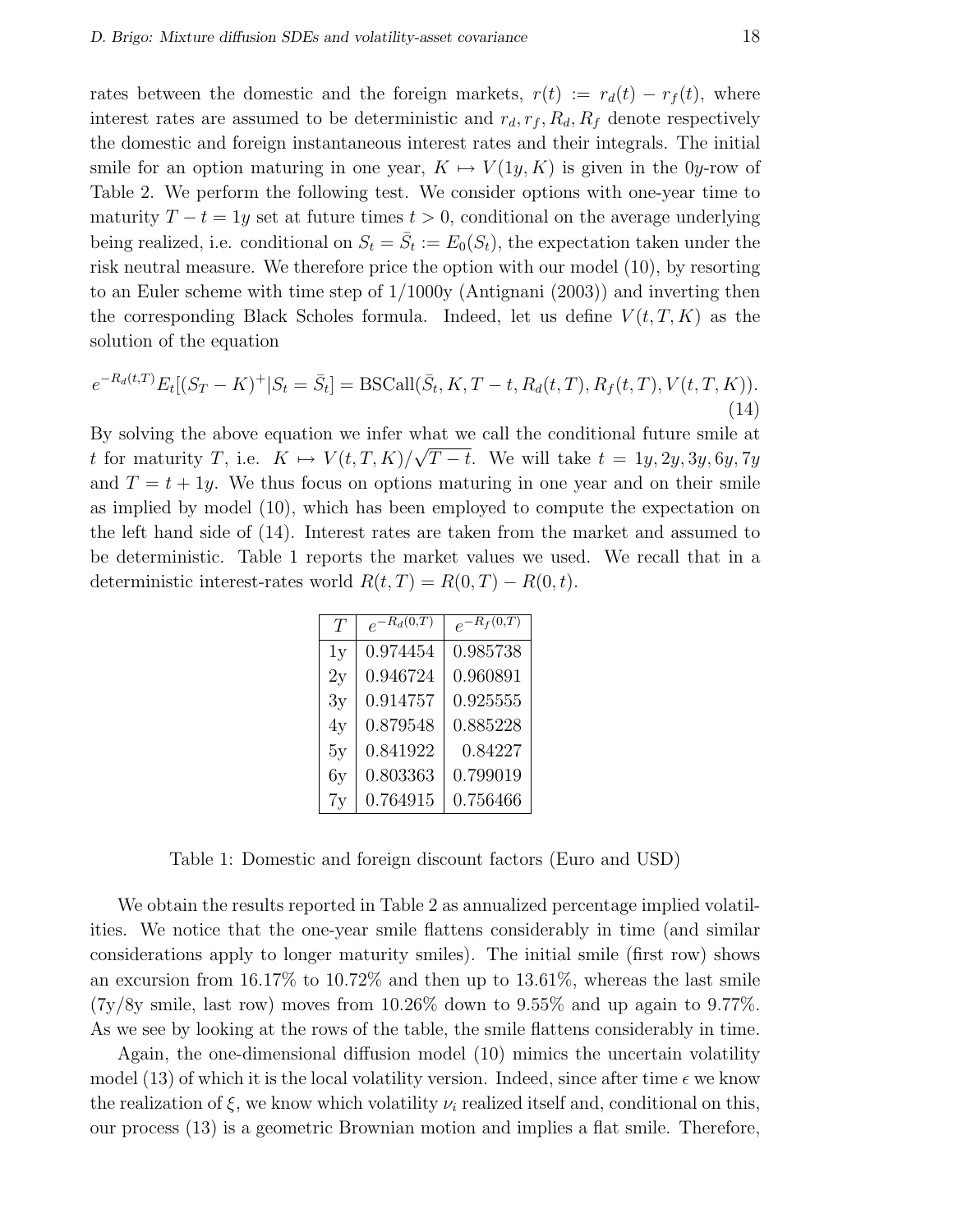rates between the domestic and the foreign markets,  $r(t) := r_d(t) - r_f(t)$ , where interest rates are assumed to be deterministic and  $r_d, r_f, R_d, R_f$  denote respectively the domestic and foreign instantaneous interest rates and their integrals. The initial smile for an option maturing in one year,  $K \mapsto V(1y, K)$  is given in the 0y-row of Table 2. We perform the following test. We consider options with one-year time to maturity  $T - t = 1y$  set at future times  $t > 0$ , conditional on the average underlying being realized, i.e. conditional on  $S_t = \overline{S}_t := E_0(S_t)$ , the expectation taken under the risk neutral measure. We therefore price the option with our model (10), by resorting to an Euler scheme with time step of 1/1000y (Antignani (2003)) and inverting then the corresponding Black Scholes formula. Indeed, let us define  $V(t, T, K)$  as the solution of the equation

$$
e^{-R_d(t,T)}E_t[(S_T - K)^+|S_t = \bar{S}_t] = \text{BSCall}(\bar{S}_t, K, T - t, R_d(t, T), R_f(t, T), V(t, T, K)).
$$
\n(14)

By solving the above equation we infer what we call the conditional future smile at t for maturity T, i.e.  $K \mapsto V(t, T, K)/\sqrt{T-t}$ . We will take  $t = 1y, 2y, 3y, 6y, 7y$ and  $T = t + 1y$ . We thus focus on options maturing in one year and on their smile as implied by model (10), which has been employed to compute the expectation on the left hand side of (14). Interest rates are taken from the market and assumed to be deterministic. Table 1 reports the market values we used. We recall that in a deterministic interest-rates world  $R(t, T) = R(0, T) - R(0, t)$ .

| T  | $e^{-R_d(0,T)}$ | $e^{-R_f(0,T)}$ |
|----|-----------------|-----------------|
| 1y | 0.974454        | 0.985738        |
| 2y | 0.946724        | 0.960891        |
| 3y | 0.914757        | 0.925555        |
| 4y | 0.879548        | 0.885228        |
| 5y | 0.841922        | 0.84227         |
| 6y | 0.803363        | 0.799019        |
| 7v | 0.764915        | 0.756466        |

Table 1: Domestic and foreign discount factors (Euro and USD)

We obtain the results reported in Table 2 as annualized percentage implied volatilities. We notice that the one-year smile flattens considerably in time (and similar considerations apply to longer maturity smiles). The initial smile (first row) shows an excursion from 16.17% to 10.72% and then up to 13.61%, whereas the last smile  $(7y/8y)$  smile, last row) moves from 10.26% down to 9.55% and up again to 9.77%. As we see by looking at the rows of the table, the smile flattens considerably in time.

Again, the one-dimensional diffusion model (10) mimics the uncertain volatility model (13) of which it is the local volatility version. Indeed, since after time  $\epsilon$  we know the realization of  $\xi$ , we know which volatility  $\nu_i$  realized itself and, conditional on this, our process (13) is a geometric Brownian motion and implies a flat smile. Therefore,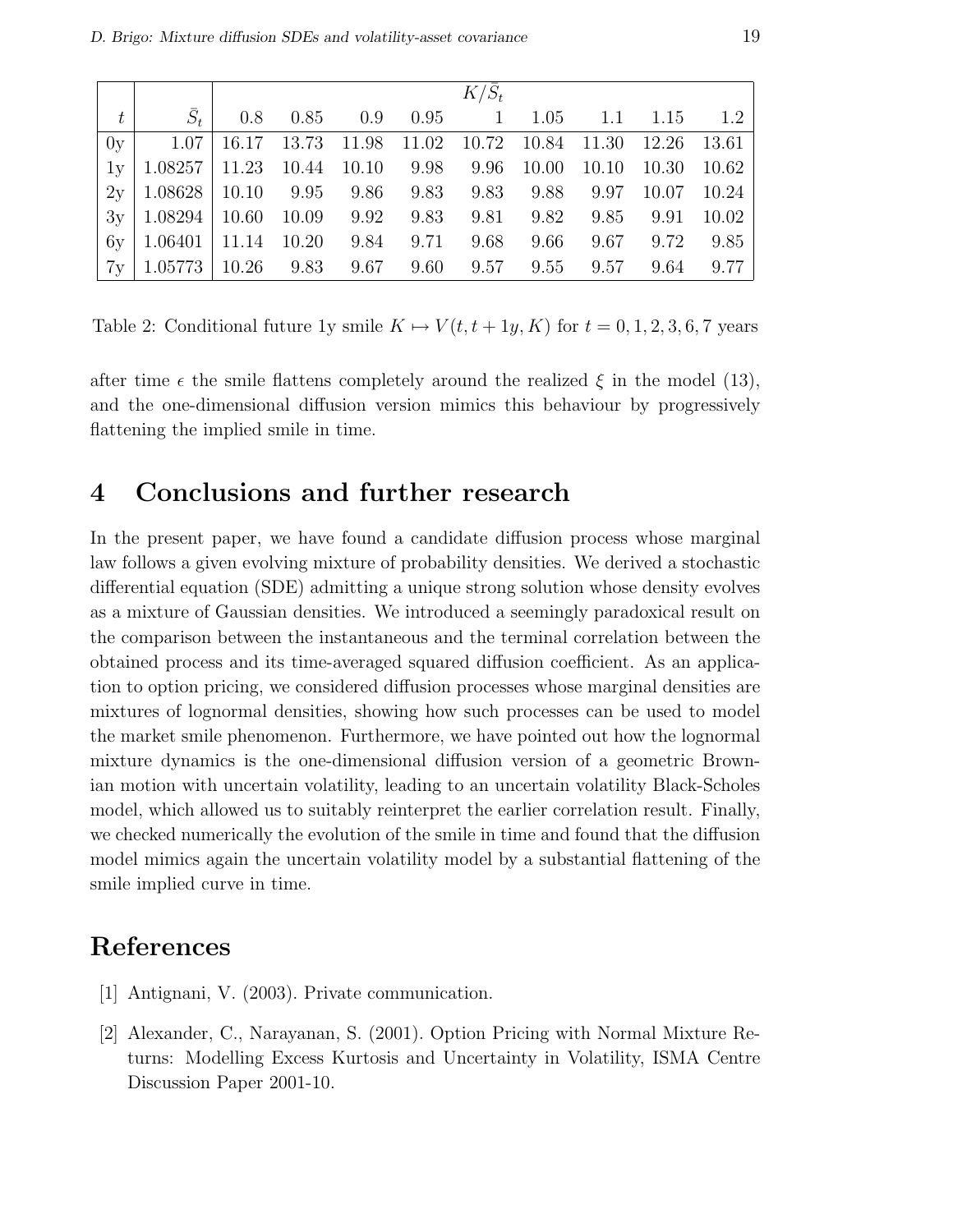|                                                                                      |  |                                                     | $K/\bar{S}_t$ |  |  |
|--------------------------------------------------------------------------------------|--|-----------------------------------------------------|---------------|--|--|
|                                                                                      |  | $\bar{S}_t$   0.8 0.85 0.9 0.95 1 1.05 1.1 1.15 1.2 |               |  |  |
| $0y$   1.07   16.17 13.73 11.98 11.02 10.72 10.84 11.30 12.26 13.61                  |  |                                                     |               |  |  |
| $1y   1.08257   11.23   10.44   10.10   9.98   9.96   10.00   10.10   10.30   10.62$ |  |                                                     |               |  |  |
| $2y   1.08628   10.10$ 9.95 9.86 9.83 9.83 9.88 9.97 10.07 10.24                     |  |                                                     |               |  |  |
| $3y   1.08294   10.60 10.09 9.92 9.83 9.81 9.82 9.85 9.91 10.02$                     |  |                                                     |               |  |  |
| $6y$   1.06401   11.14   10.20   9.84   9.71   9.68   9.66   9.67   9.72   9.85      |  |                                                     |               |  |  |
| $7y   1.05773   10.26$ 9.83 9.67 9.60 9.57 9.55 9.57 9.64 9.77                       |  |                                                     |               |  |  |

Table 2: Conditional future 1y smile  $K \mapsto V(t, t + 1y, K)$  for  $t = 0, 1, 2, 3, 6, 7$  years

after time  $\epsilon$  the smile flattens completely around the realized  $\xi$  in the model (13), and the one-dimensional diffusion version mimics this behaviour by progressively flattening the implied smile in time.

### 4 Conclusions and further research

In the present paper, we have found a candidate diffusion process whose marginal law follows a given evolving mixture of probability densities. We derived a stochastic differential equation (SDE) admitting a unique strong solution whose density evolves as a mixture of Gaussian densities. We introduced a seemingly paradoxical result on the comparison between the instantaneous and the terminal correlation between the obtained process and its time-averaged squared diffusion coefficient. As an application to option pricing, we considered diffusion processes whose marginal densities are mixtures of lognormal densities, showing how such processes can be used to model the market smile phenomenon. Furthermore, we have pointed out how the lognormal mixture dynamics is the one-dimensional diffusion version of a geometric Brownian motion with uncertain volatility, leading to an uncertain volatility Black-Scholes model, which allowed us to suitably reinterpret the earlier correlation result. Finally, we checked numerically the evolution of the smile in time and found that the diffusion model mimics again the uncertain volatility model by a substantial flattening of the smile implied curve in time.

## References

- [1] Antignani, V. (2003). Private communication.
- [2] Alexander, C., Narayanan, S. (2001). Option Pricing with Normal Mixture Returns: Modelling Excess Kurtosis and Uncertainty in Volatility, ISMA Centre Discussion Paper 2001-10.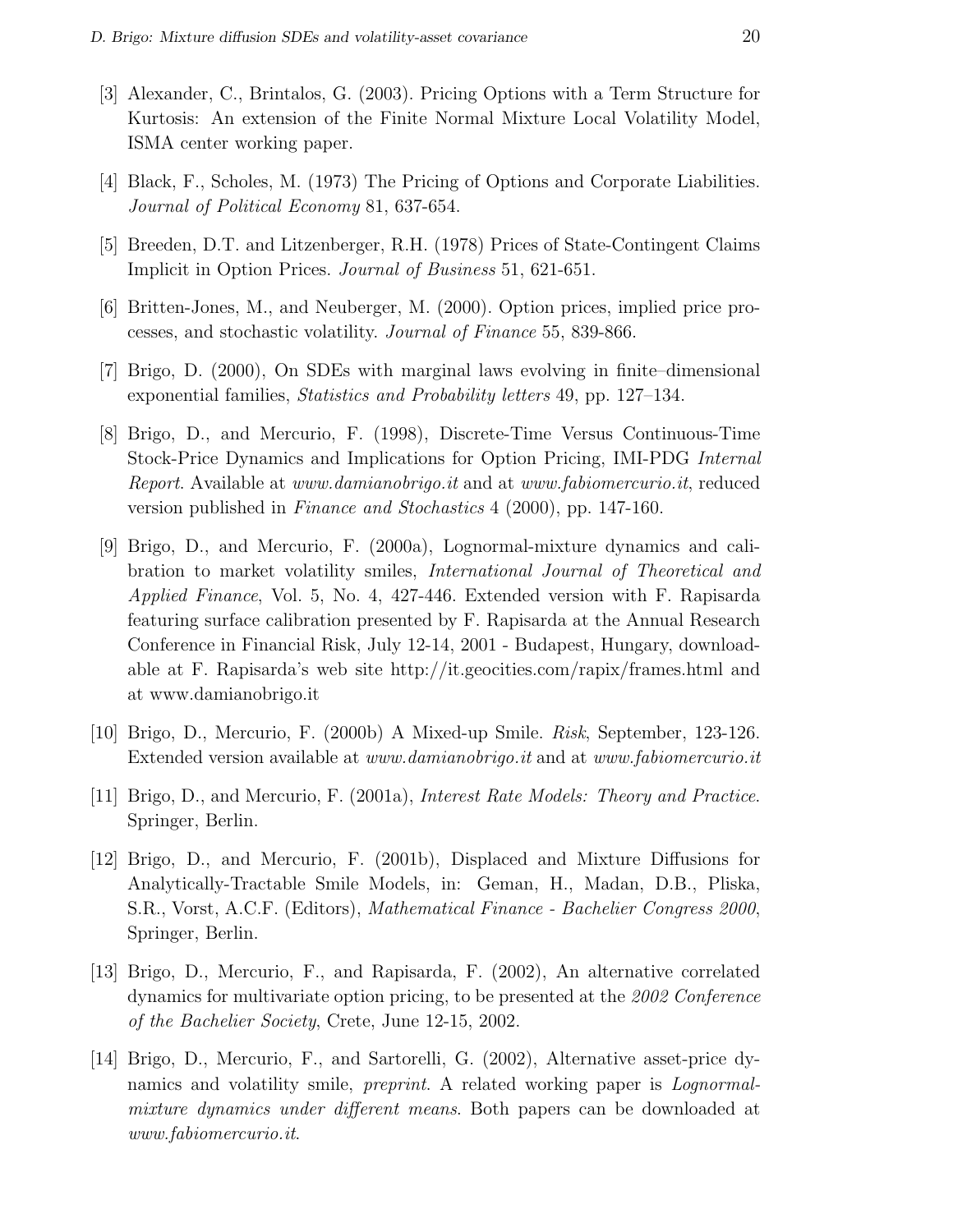- [3] Alexander, C., Brintalos, G. (2003). Pricing Options with a Term Structure for Kurtosis: An extension of the Finite Normal Mixture Local Volatility Model, ISMA center working paper.
- [4] Black, F., Scholes, M. (1973) The Pricing of Options and Corporate Liabilities. Journal of Political Economy 81, 637-654.
- [5] Breeden, D.T. and Litzenberger, R.H. (1978) Prices of State-Contingent Claims Implicit in Option Prices. Journal of Business 51, 621-651.
- [6] Britten-Jones, M., and Neuberger, M. (2000). Option prices, implied price processes, and stochastic volatility. Journal of Finance 55, 839-866.
- [7] Brigo, D. (2000), On SDEs with marginal laws evolving in finite–dimensional exponential families, Statistics and Probability letters 49, pp. 127–134.
- [8] Brigo, D., and Mercurio, F. (1998), Discrete-Time Versus Continuous-Time Stock-Price Dynamics and Implications for Option Pricing, IMI-PDG Internal Report. Available at www.damianobrigo.it and at www.fabiomercurio.it, reduced version published in Finance and Stochastics 4 (2000), pp. 147-160.
- [9] Brigo, D., and Mercurio, F. (2000a), Lognormal-mixture dynamics and calibration to market volatility smiles, International Journal of Theoretical and Applied Finance, Vol. 5, No. 4, 427-446. Extended version with F. Rapisarda featuring surface calibration presented by F. Rapisarda at the Annual Research Conference in Financial Risk, July 12-14, 2001 - Budapest, Hungary, downloadable at F. Rapisarda's web site http://it.geocities.com/rapix/frames.html and at www.damianobrigo.it
- [10] Brigo, D., Mercurio, F. (2000b) A Mixed-up Smile. Risk, September, 123-126. Extended version available at *www.damianobrigo.it* and at *www.fabiomercurio.it*
- [11] Brigo, D., and Mercurio, F. (2001a), Interest Rate Models: Theory and Practice. Springer, Berlin.
- [12] Brigo, D., and Mercurio, F. (2001b), Displaced and Mixture Diffusions for Analytically-Tractable Smile Models, in: Geman, H., Madan, D.B., Pliska, S.R., Vorst, A.C.F. (Editors), Mathematical Finance - Bachelier Congress 2000, Springer, Berlin.
- [13] Brigo, D., Mercurio, F., and Rapisarda, F. (2002), An alternative correlated dynamics for multivariate option pricing, to be presented at the 2002 Conference of the Bachelier Society, Crete, June 12-15, 2002.
- [14] Brigo, D., Mercurio, F., and Sartorelli, G. (2002), Alternative asset-price dynamics and volatility smile, *preprint*. A related working paper is *Lognormal*mixture dynamics under different means. Both papers can be downloaded at www.fabiomercurio.it.